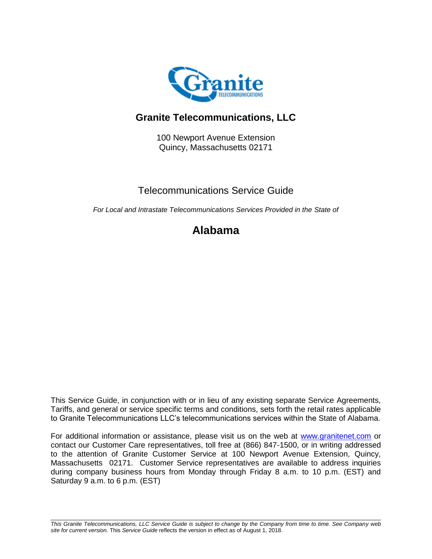

# **Granite Telecommunications, LLC**

100 Newport Avenue Extension Quincy, Massachusetts 02171

## Telecommunications Service Guide

*For Local and Intrastate Telecommunications Services Provided in the State of*

# **Alabama**

This Service Guide, in conjunction with or in lieu of any existing separate Service Agreements, Tariffs, and general or service specific terms and conditions, sets forth the retail rates applicable to Granite Telecommunications LLC's telecommunications services within the State of Alabama.

For additional information or assistance, please visit us on the web at [www.granitenet.com](http://www.granitenet.com/) or contact our Customer Care representatives, toll free at (866) 847-1500, or in writing addressed to the attention of Granite Customer Service at 100 Newport Avenue Extension, Quincy, Massachusetts 02171. Customer Service representatives are available to address inquiries during company business hours from Monday through Friday 8 a.m. to 10 p.m. (EST) and Saturday 9 a.m. to 6 p.m. (EST)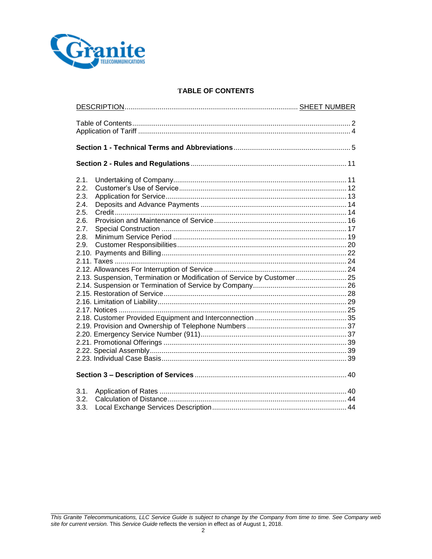

## **TABLE OF CONTENTS**

| 2.1.<br>2.2.<br>2.3.<br>2.4.<br>2.5.<br>2.6.<br>2.7.<br>2.8.<br>2.9.<br>2.13. Suspension, Termination or Modification of Service by Customer 25 |  |  |
|-------------------------------------------------------------------------------------------------------------------------------------------------|--|--|
|                                                                                                                                                 |  |  |
| 3.1.<br>3.2.                                                                                                                                    |  |  |
| 3.3.                                                                                                                                            |  |  |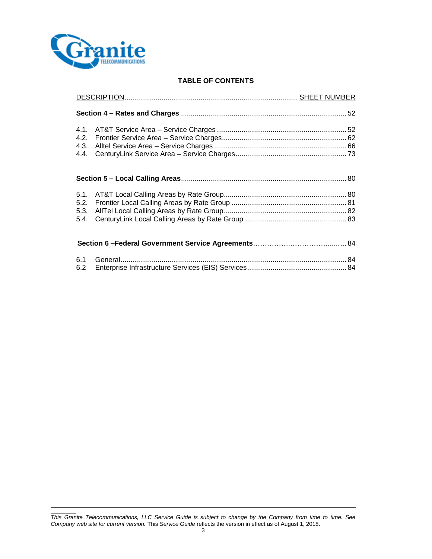

## **TABLE OF CONTENTS**

| 4.1.<br>4.2. |  |
|--------------|--|
|              |  |
| 5.4.         |  |
|              |  |
| 6.1<br>6.2   |  |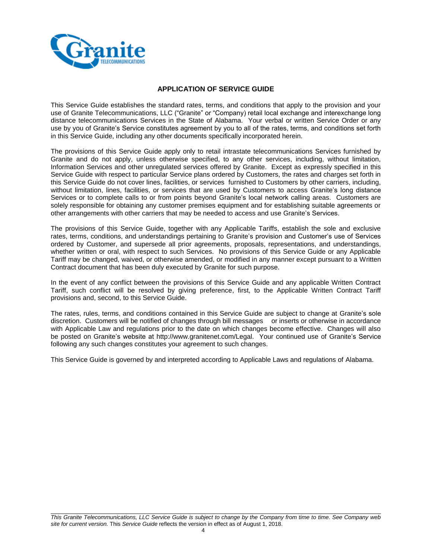

## **APPLICATION OF SERVICE GUIDE**

This Service Guide establishes the standard rates, terms, and conditions that apply to the provision and your use of Granite Telecommunications, LLC ("Granite" or "Company) retail local exchange and interexchange long distance telecommunications Services in the State of Alabama. Your verbal or written Service Order or any use by you of Granite's Service constitutes agreement by you to all of the rates, terms, and conditions set forth in this Service Guide, including any other documents specifically incorporated herein.

The provisions of this Service Guide apply only to retail intrastate telecommunications Services furnished by Granite and do not apply, unless otherwise specified, to any other services, including, without limitation, Information Services and other unregulated services offered by Granite. Except as expressly specified in this Service Guide with respect to particular Service plans ordered by Customers, the rates and charges set forth in this Service Guide do not cover lines, facilities, or services furnished to Customers by other carriers, including, without limitation, lines, facilities, or services that are used by Customers to access Granite's long distance Services or to complete calls to or from points beyond Granite's local network calling areas. Customers are solely responsible for obtaining any customer premises equipment and for establishing suitable agreements or other arrangements with other carriers that may be needed to access and use Granite's Services.

The provisions of this Service Guide, together with any Applicable Tariffs, establish the sole and exclusive rates, terms, conditions, and understandings pertaining to Granite's provision and Customer's use of Services ordered by Customer, and supersede all prior agreements, proposals, representations, and understandings, whether written or oral, with respect to such Services. No provisions of this Service Guide or any Applicable Tariff may be changed, waived, or otherwise amended, or modified in any manner except pursuant to a Written Contract document that has been duly executed by Granite for such purpose.

In the event of any conflict between the provisions of this Service Guide and any applicable Written Contract Tariff, such conflict will be resolved by giving preference, first, to the Applicable Written Contract Tariff provisions and, second, to this Service Guide.

The rates, rules, terms, and conditions contained in this Service Guide are subject to change at Granite's sole discretion. Customers will be notified of changes through bill messages or inserts or otherwise in accordance with Applicable Law and regulations prior to the date on which changes become effective. Changes will also be posted on Granite's website at http://www.granitenet.com/Legal. Your continued use of Granite's Service following any such changes constitutes your agreement to such changes.

This Service Guide is governed by and interpreted according to Applicable Laws and regulations of Alabama.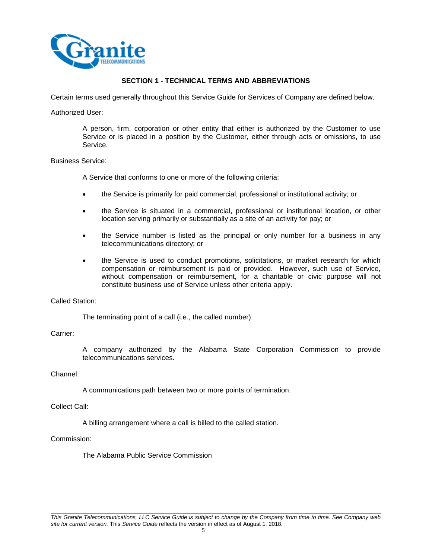

## **SECTION 1 - TECHNICAL TERMS AND ABBREVIATIONS**

Certain terms used generally throughout this Service Guide for Services of Company are defined below.

#### Authorized User:

A person, firm, corporation or other entity that either is authorized by the Customer to use Service or is placed in a position by the Customer, either through acts or omissions, to use Service.

## Business Service:

A Service that conforms to one or more of the following criteria:

- the Service is primarily for paid commercial, professional or institutional activity; or
- the Service is situated in a commercial, professional or institutional location, or other location serving primarily or substantially as a site of an activity for pay; or
- the Service number is listed as the principal or only number for a business in any telecommunications directory; or
- the Service is used to conduct promotions, solicitations, or market research for which compensation or reimbursement is paid or provided. However, such use of Service, without compensation or reimbursement, for a charitable or civic purpose will not constitute business use of Service unless other criteria apply.

## Called Station:

The terminating point of a call (i.e., the called number).

## Carrier:

A company authorized by the Alabama State Corporation Commission to provide telecommunications services.

## Channel:

A communications path between two or more points of termination.

## Collect Call:

A billing arrangement where a call is billed to the called station.

## Commission:

The Alabama Public Service Commission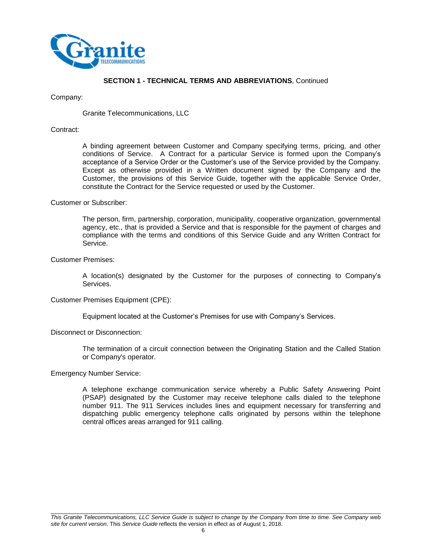

#### Company:

Granite Telecommunications, LLC

#### Contract:

A binding agreement between Customer and Company specifying terms, pricing, and other conditions of Service. A Contract for a particular Service is formed upon the Company's acceptance of a Service Order or the Customer's use of the Service provided by the Company. Except as otherwise provided in a Written document signed by the Company and the Customer, the provisions of this Service Guide, together with the applicable Service Order, constitute the Contract for the Service requested or used by the Customer.

#### Customer or Subscriber:

The person, firm, partnership, corporation, municipality, cooperative organization, governmental agency, etc., that is provided a Service and that is responsible for the payment of charges and compliance with the terms and conditions of this Service Guide and any Written Contract for Service.

## Customer Premises:

A location(s) designated by the Customer for the purposes of connecting to Company's Services.

#### Customer Premises Equipment (CPE):

Equipment located at the Customer's Premises for use with Company's Services.

## Disconnect or Disconnection:

The termination of a circuit connection between the Originating Station and the Called Station or Company's operator.

#### Emergency Number Service:

A telephone exchange communication service whereby a Public Safety Answering Point (PSAP) designated by the Customer may receive telephone calls dialed to the telephone number 911. The 911 Services includes lines and equipment necessary for transferring and dispatching public emergency telephone calls originated by persons within the telephone central offices areas arranged for 911 calling.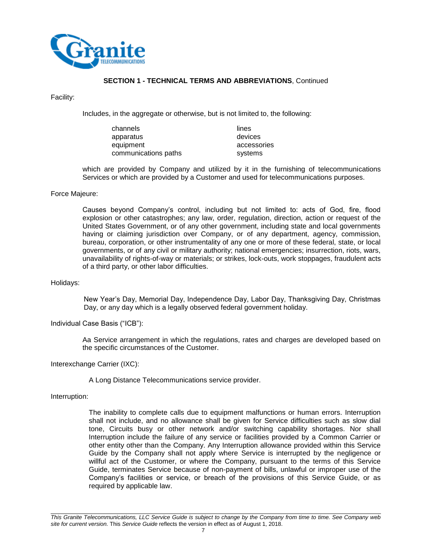

Facility:

Includes, in the aggregate or otherwise, but is not limited to, the following:

| channels             | lines       |
|----------------------|-------------|
| apparatus            | devices     |
| equipment            | accessories |
| communications paths | systems     |

which are provided by Company and utilized by it in the furnishing of telecommunications Services or which are provided by a Customer and used for telecommunications purposes.

#### Force Majeure:

Causes beyond Company's control, including but not limited to: acts of God, fire, flood explosion or other catastrophes; any law, order, regulation, direction, action or request of the United States Government, or of any other government, including state and local governments having or claiming jurisdiction over Company, or of any department, agency, commission, bureau, corporation, or other instrumentality of any one or more of these federal, state, or local governments, or of any civil or military authority; national emergencies; insurrection, riots, wars, unavailability of rights-of-way or materials; or strikes, lock-outs, work stoppages, fraudulent acts of a third party, or other labor difficulties.

#### Holidays:

New Year's Day, Memorial Day, Independence Day, Labor Day, Thanksgiving Day, Christmas Day, or any day which is a legally observed federal government holiday.

Individual Case Basis ("ICB"):

Aa Service arrangement in which the regulations, rates and charges are developed based on the specific circumstances of the Customer.

Interexchange Carrier (IXC):

A Long Distance Telecommunications service provider.

Interruption:

The inability to complete calls due to equipment malfunctions or human errors. Interruption shall not include, and no allowance shall be given for Service difficulties such as slow dial tone, Circuits busy or other network and/or switching capability shortages. Nor shall Interruption include the failure of any service or facilities provided by a Common Carrier or other entity other than the Company. Any Interruption allowance provided within this Service Guide by the Company shall not apply where Service is interrupted by the negligence or willful act of the Customer, or where the Company, pursuant to the terms of this Service Guide, terminates Service because of non-payment of bills, unlawful or improper use of the Company's facilities or service, or breach of the provisions of this Service Guide, or as required by applicable law.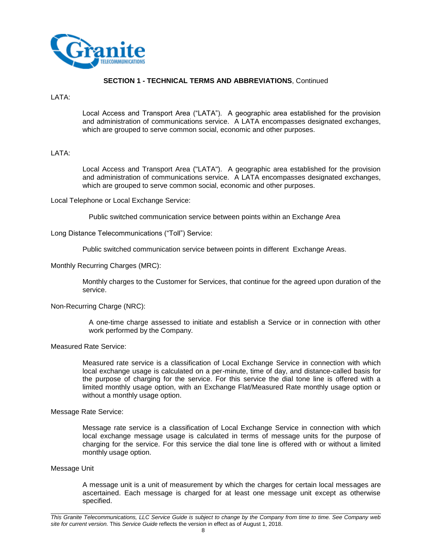

#### LATA:

Local Access and Transport Area ("LATA"). A geographic area established for the provision and administration of communications service. A LATA encompasses designated exchanges, which are grouped to serve common social, economic and other purposes.

## LATA:

Local Access and Transport Area ("LATA"). A geographic area established for the provision and administration of communications service. A LATA encompasses designated exchanges, which are grouped to serve common social, economic and other purposes.

Local Telephone or Local Exchange Service:

Public switched communication service between points within an Exchange Area

Long Distance Telecommunications ("Toll") Service:

Public switched communication service between points in different Exchange Areas.

Monthly Recurring Charges (MRC):

Monthly charges to the Customer for Services, that continue for the agreed upon duration of the service.

## Non-Recurring Charge (NRC):

A one-time charge assessed to initiate and establish a Service or in connection with other work performed by the Company.

## Measured Rate Service:

Measured rate service is a classification of Local Exchange Service in connection with which local exchange usage is calculated on a per-minute, time of day, and distance-called basis for the purpose of charging for the service. For this service the dial tone line is offered with a limited monthly usage option, with an Exchange Flat/Measured Rate monthly usage option or without a monthly usage option.

Message Rate Service:

Message rate service is a classification of Local Exchange Service in connection with which local exchange message usage is calculated in terms of message units for the purpose of charging for the service. For this service the dial tone line is offered with or without a limited monthly usage option.

#### Message Unit

A message unit is a unit of measurement by which the charges for certain local messages are ascertained. Each message is charged for at least one message unit except as otherwise specified.

*This Granite Telecommunications, LLC Service Guide is subject to change by the Company from time to time. See Company web site for current version.* This *Service Guide* reflects the version in effect as of August 1, 2018.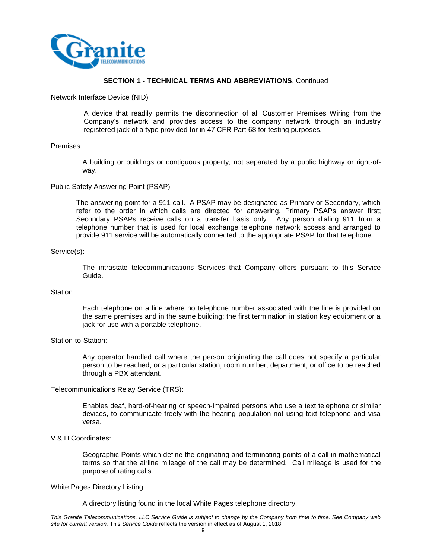

Network Interface Device (NID)

A device that readily permits the disconnection of all Customer Premises Wiring from the Company's network and provides access to the company network through an industry registered jack of a type provided for in 47 CFR Part 68 for testing purposes.

#### Premises:

A building or buildings or contiguous property, not separated by a public highway or right-ofway.

#### Public Safety Answering Point (PSAP)

The answering point for a 911 call. A PSAP may be designated as Primary or Secondary, which refer to the order in which calls are directed for answering. Primary PSAPs answer first; Secondary PSAPs receive calls on a transfer basis only. Any person dialing 911 from a telephone number that is used for local exchange telephone network access and arranged to provide 911 service will be automatically connected to the appropriate PSAP for that telephone.

#### Service(s):

The intrastate telecommunications Services that Company offers pursuant to this Service Guide.

#### Station:

Each telephone on a line where no telephone number associated with the line is provided on the same premises and in the same building; the first termination in station key equipment or a jack for use with a portable telephone.

#### Station-to-Station:

Any operator handled call where the person originating the call does not specify a particular person to be reached, or a particular station, room number, department, or office to be reached through a PBX attendant.

## Telecommunications Relay Service (TRS):

Enables deaf, hard-of-hearing or speech-impaired persons who use a text telephone or similar devices, to communicate freely with the hearing population not using text telephone and visa versa.

#### V & H Coordinates:

Geographic Points which define the originating and terminating points of a call in mathematical terms so that the airline mileage of the call may be determined. Call mileage is used for the purpose of rating calls.

#### White Pages Directory Listing:

A directory listing found in the local White Pages telephone directory.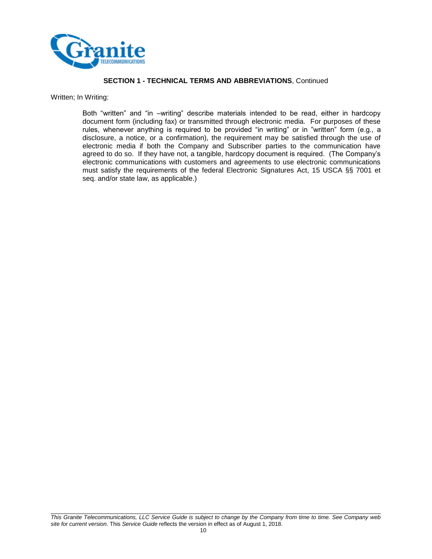

Written; In Writing:

Both "written" and "in –writing" describe materials intended to be read, either in hardcopy document form (including fax) or transmitted through electronic media. For purposes of these rules, whenever anything is required to be provided "in writing" or in "written" form (e.g., a disclosure, a notice, or a confirmation), the requirement may be satisfied through the use of electronic media if both the Company and Subscriber parties to the communication have agreed to do so. If they have not, a tangible, hardcopy document is required. (The Company's electronic communications with customers and agreements to use electronic communications must satisfy the requirements of the federal Electronic Signatures Act, 15 USCA §§ 7001 et seq. and/or state law, as applicable.)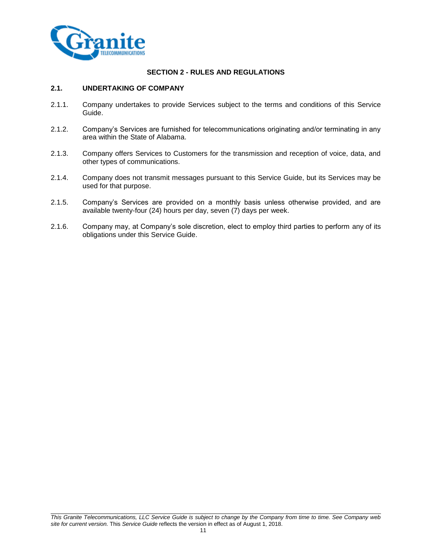

## **SECTION 2 - RULES AND REGULATIONS**

## **2.1. UNDERTAKING OF COMPANY**

- 2.1.1. Company undertakes to provide Services subject to the terms and conditions of this Service Guide.
- 2.1.2. Company's Services are furnished for telecommunications originating and/or terminating in any area within the State of Alabama.
- 2.1.3. Company offers Services to Customers for the transmission and reception of voice, data, and other types of communications.
- 2.1.4. Company does not transmit messages pursuant to this Service Guide, but its Services may be used for that purpose.
- 2.1.5. Company's Services are provided on a monthly basis unless otherwise provided, and are available twenty-four (24) hours per day, seven (7) days per week.
- 2.1.6. Company may, at Company's sole discretion, elect to employ third parties to perform any of its obligations under this Service Guide.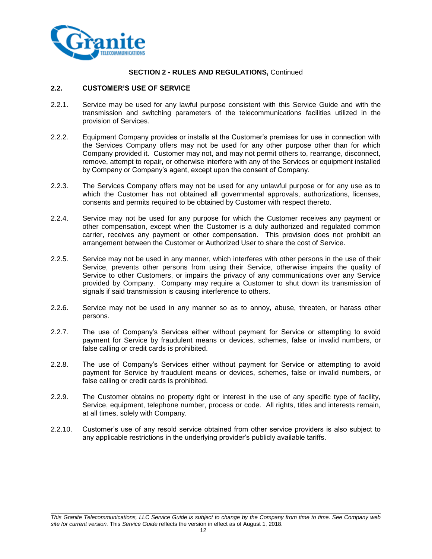

## **2.2. CUSTOMER'S USE OF SERVICE**

- 2.2.1. Service may be used for any lawful purpose consistent with this Service Guide and with the transmission and switching parameters of the telecommunications facilities utilized in the provision of Services.
- 2.2.2. Equipment Company provides or installs at the Customer's premises for use in connection with the Services Company offers may not be used for any other purpose other than for which Company provided it. Customer may not, and may not permit others to, rearrange, disconnect, remove, attempt to repair, or otherwise interfere with any of the Services or equipment installed by Company or Company's agent, except upon the consent of Company.
- 2.2.3. The Services Company offers may not be used for any unlawful purpose or for any use as to which the Customer has not obtained all governmental approvals, authorizations, licenses, consents and permits required to be obtained by Customer with respect thereto.
- 2.2.4. Service may not be used for any purpose for which the Customer receives any payment or other compensation, except when the Customer is a duly authorized and regulated common carrier, receives any payment or other compensation. This provision does not prohibit an arrangement between the Customer or Authorized User to share the cost of Service.
- 2.2.5. Service may not be used in any manner, which interferes with other persons in the use of their Service, prevents other persons from using their Service, otherwise impairs the quality of Service to other Customers, or impairs the privacy of any communications over any Service provided by Company. Company may require a Customer to shut down its transmission of signals if said transmission is causing interference to others.
- 2.2.6. Service may not be used in any manner so as to annoy, abuse, threaten, or harass other persons.
- 2.2.7. The use of Company's Services either without payment for Service or attempting to avoid payment for Service by fraudulent means or devices, schemes, false or invalid numbers, or false calling or credit cards is prohibited.
- 2.2.8. The use of Company's Services either without payment for Service or attempting to avoid payment for Service by fraudulent means or devices, schemes, false or invalid numbers, or false calling or credit cards is prohibited.
- 2.2.9. The Customer obtains no property right or interest in the use of any specific type of facility, Service, equipment, telephone number, process or code. All rights, titles and interests remain, at all times, solely with Company.
- 2.2.10. Customer's use of any resold service obtained from other service providers is also subject to any applicable restrictions in the underlying provider's publicly available tariffs.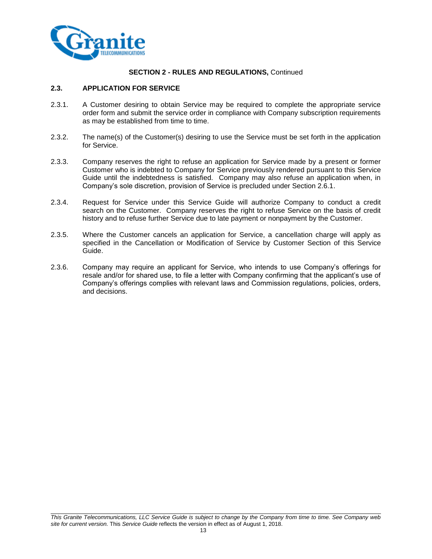

## **2.3. APPLICATION FOR SERVICE**

- 2.3.1. A Customer desiring to obtain Service may be required to complete the appropriate service order form and submit the service order in compliance with Company subscription requirements as may be established from time to time.
- 2.3.2. The name(s) of the Customer(s) desiring to use the Service must be set forth in the application for Service.
- 2.3.3. Company reserves the right to refuse an application for Service made by a present or former Customer who is indebted to Company for Service previously rendered pursuant to this Service Guide until the indebtedness is satisfied. Company may also refuse an application when, in Company's sole discretion, provision of Service is precluded under Section 2.6.1.
- 2.3.4. Request for Service under this Service Guide will authorize Company to conduct a credit search on the Customer. Company reserves the right to refuse Service on the basis of credit history and to refuse further Service due to late payment or nonpayment by the Customer.
- 2.3.5. Where the Customer cancels an application for Service, a cancellation charge will apply as specified in the Cancellation or Modification of Service by Customer Section of this Service Guide.
- 2.3.6. Company may require an applicant for Service, who intends to use Company's offerings for resale and/or for shared use, to file a letter with Company confirming that the applicant's use of Company's offerings complies with relevant laws and Commission regulations, policies, orders, and decisions.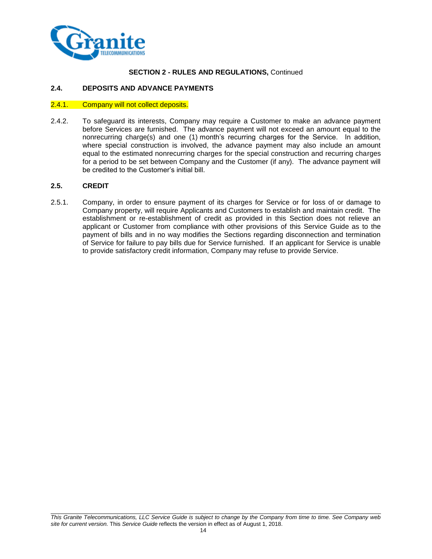

## **2.4. DEPOSITS AND ADVANCE PAYMENTS**

#### 2.4.1. Company will not collect deposits.

2.4.2. To safeguard its interests, Company may require a Customer to make an advance payment before Services are furnished. The advance payment will not exceed an amount equal to the nonrecurring charge(s) and one (1) month's recurring charges for the Service. In addition, where special construction is involved, the advance payment may also include an amount equal to the estimated nonrecurring charges for the special construction and recurring charges for a period to be set between Company and the Customer (if any). The advance payment will be credited to the Customer's initial bill.

## **2.5. CREDIT**

2.5.1. Company, in order to ensure payment of its charges for Service or for loss of or damage to Company property, will require Applicants and Customers to establish and maintain credit. The establishment or re-establishment of credit as provided in this Section does not relieve an applicant or Customer from compliance with other provisions of this Service Guide as to the payment of bills and in no way modifies the Sections regarding disconnection and termination of Service for failure to pay bills due for Service furnished. If an applicant for Service is unable to provide satisfactory credit information, Company may refuse to provide Service.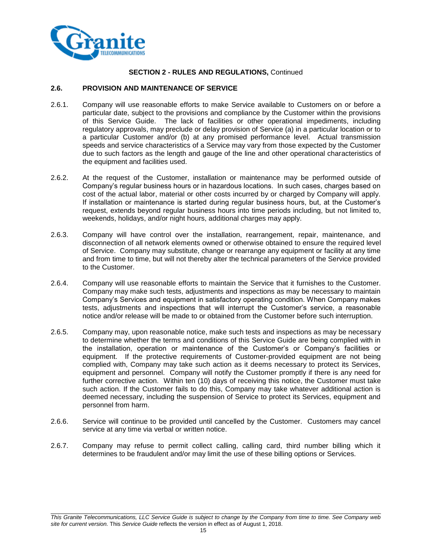

## **2.6. PROVISION AND MAINTENANCE OF SERVICE**

- 2.6.1. Company will use reasonable efforts to make Service available to Customers on or before a particular date, subject to the provisions and compliance by the Customer within the provisions of this Service Guide. The lack of facilities or other operational impediments, including regulatory approvals, may preclude or delay provision of Service (a) in a particular location or to a particular Customer and/or (b) at any promised performance level. Actual transmission speeds and service characteristics of a Service may vary from those expected by the Customer due to such factors as the length and gauge of the line and other operational characteristics of the equipment and facilities used.
- 2.6.2. At the request of the Customer, installation or maintenance may be performed outside of Company's regular business hours or in hazardous locations. In such cases, charges based on cost of the actual labor, material or other costs incurred by or charged by Company will apply. If installation or maintenance is started during regular business hours, but, at the Customer's request, extends beyond regular business hours into time periods including, but not limited to, weekends, holidays, and/or night hours, additional charges may apply.
- 2.6.3. Company will have control over the installation, rearrangement, repair, maintenance, and disconnection of all network elements owned or otherwise obtained to ensure the required level of Service. Company may substitute, change or rearrange any equipment or facility at any time and from time to time, but will not thereby alter the technical parameters of the Service provided to the Customer.
- 2.6.4. Company will use reasonable efforts to maintain the Service that it furnishes to the Customer. Company may make such tests, adjustments and inspections as may be necessary to maintain Company's Services and equipment in satisfactory operating condition. When Company makes tests, adjustments and inspections that will interrupt the Customer's service, a reasonable notice and/or release will be made to or obtained from the Customer before such interruption.
- 2.6.5. Company may, upon reasonable notice, make such tests and inspections as may be necessary to determine whether the terms and conditions of this Service Guide are being complied with in the installation, operation or maintenance of the Customer's or Company's facilities or equipment. If the protective requirements of Customer-provided equipment are not being complied with, Company may take such action as it deems necessary to protect its Services, equipment and personnel. Company will notify the Customer promptly if there is any need for further corrective action. Within ten (10) days of receiving this notice, the Customer must take such action. If the Customer fails to do this, Company may take whatever additional action is deemed necessary, including the suspension of Service to protect its Services, equipment and personnel from harm.
- 2.6.6. Service will continue to be provided until cancelled by the Customer. Customers may cancel service at any time via verbal or written notice.
- 2.6.7. Company may refuse to permit collect calling, calling card, third number billing which it determines to be fraudulent and/or may limit the use of these billing options or Services.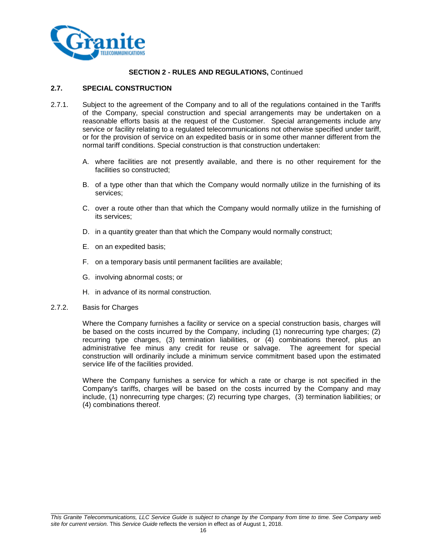

## **2.7. SPECIAL CONSTRUCTION**

- 2.7.1. Subject to the agreement of the Company and to all of the regulations contained in the Tariffs of the Company, special construction and special arrangements may be undertaken on a reasonable efforts basis at the request of the Customer. Special arrangements include any service or facility relating to a regulated telecommunications not otherwise specified under tariff, or for the provision of service on an expedited basis or in some other manner different from the normal tariff conditions. Special construction is that construction undertaken:
	- A. where facilities are not presently available, and there is no other requirement for the facilities so constructed;
	- B. of a type other than that which the Company would normally utilize in the furnishing of its services;
	- C. over a route other than that which the Company would normally utilize in the furnishing of its services;
	- D. in a quantity greater than that which the Company would normally construct;
	- E. on an expedited basis;
	- F. on a temporary basis until permanent facilities are available;
	- G. involving abnormal costs; or
	- H. in advance of its normal construction.

#### 2.7.2. Basis for Charges

Where the Company furnishes a facility or service on a special construction basis, charges will be based on the costs incurred by the Company, including (1) nonrecurring type charges; (2) recurring type charges, (3) termination liabilities, or (4) combinations thereof, plus an administrative fee minus any credit for reuse or salvage. The agreement for special construction will ordinarily include a minimum service commitment based upon the estimated service life of the facilities provided.

Where the Company furnishes a service for which a rate or charge is not specified in the Company's tariffs, charges will be based on the costs incurred by the Company and may include, (1) nonrecurring type charges; (2) recurring type charges, (3) termination liabilities; or (4) combinations thereof.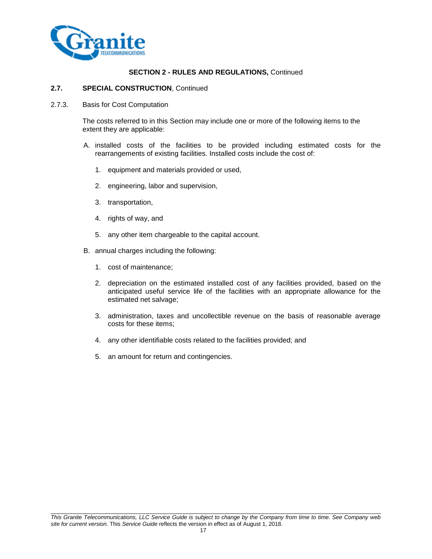

## **2.7. SPECIAL CONSTRUCTION**, Continued

2.7.3. Basis for Cost Computation

The costs referred to in this Section may include one or more of the following items to the extent they are applicable:

- A. installed costs of the facilities to be provided including estimated costs for the rearrangements of existing facilities. Installed costs include the cost of:
	- 1. equipment and materials provided or used,
	- 2. engineering, labor and supervision,
	- 3. transportation,
	- 4. rights of way, and
	- 5. any other item chargeable to the capital account.
- B. annual charges including the following:
	- 1. cost of maintenance;
	- 2. depreciation on the estimated installed cost of any facilities provided, based on the anticipated useful service life of the facilities with an appropriate allowance for the estimated net salvage;
	- 3. administration, taxes and uncollectible revenue on the basis of reasonable average costs for these items;
	- 4. any other identifiable costs related to the facilities provided; and
	- 5. an amount for return and contingencies.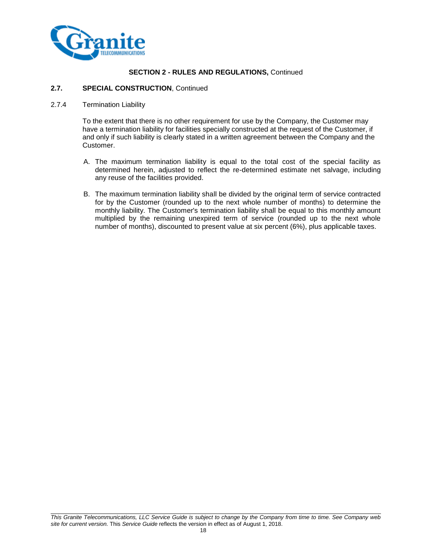

## **2.7. SPECIAL CONSTRUCTION**, Continued

## 2.7.4 Termination Liability

To the extent that there is no other requirement for use by the Company, the Customer may have a termination liability for facilities specially constructed at the request of the Customer, if and only if such liability is clearly stated in a written agreement between the Company and the Customer.

- A. The maximum termination liability is equal to the total cost of the special facility as determined herein, adjusted to reflect the re-determined estimate net salvage, including any reuse of the facilities provided.
- B. The maximum termination liability shall be divided by the original term of service contracted for by the Customer (rounded up to the next whole number of months) to determine the monthly liability. The Customer's termination liability shall be equal to this monthly amount multiplied by the remaining unexpired term of service (rounded up to the next whole number of months), discounted to present value at six percent (6%), plus applicable taxes.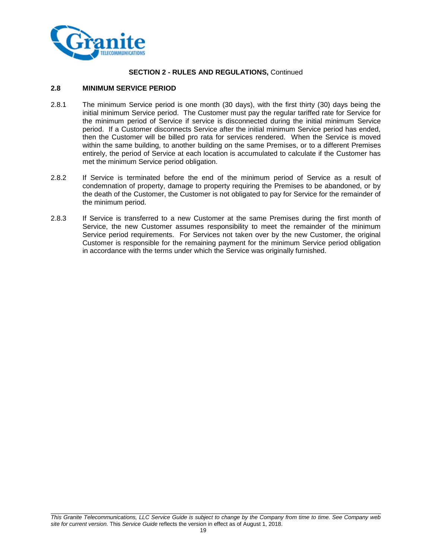

## **2.8 MINIMUM SERVICE PERIOD**

- 2.8.1 The minimum Service period is one month (30 days), with the first thirty (30) days being the initial minimum Service period. The Customer must pay the regular tariffed rate for Service for the minimum period of Service if service is disconnected during the initial minimum Service period. If a Customer disconnects Service after the initial minimum Service period has ended, then the Customer will be billed pro rata for services rendered. When the Service is moved within the same building, to another building on the same Premises, or to a different Premises entirely, the period of Service at each location is accumulated to calculate if the Customer has met the minimum Service period obligation.
- 2.8.2 If Service is terminated before the end of the minimum period of Service as a result of condemnation of property, damage to property requiring the Premises to be abandoned, or by the death of the Customer, the Customer is not obligated to pay for Service for the remainder of the minimum period.
- 2.8.3 If Service is transferred to a new Customer at the same Premises during the first month of Service, the new Customer assumes responsibility to meet the remainder of the minimum Service period requirements. For Services not taken over by the new Customer, the original Customer is responsible for the remaining payment for the minimum Service period obligation in accordance with the terms under which the Service was originally furnished.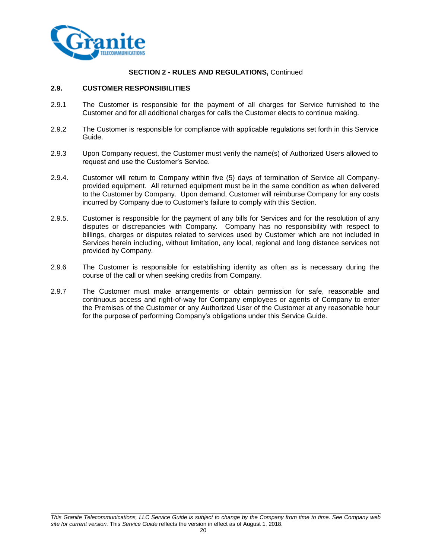

## **2.9. CUSTOMER RESPONSIBILITIES**

- 2.9.1 The Customer is responsible for the payment of all charges for Service furnished to the Customer and for all additional charges for calls the Customer elects to continue making.
- 2.9.2 The Customer is responsible for compliance with applicable regulations set forth in this Service Guide.
- 2.9.3 Upon Company request, the Customer must verify the name(s) of Authorized Users allowed to request and use the Customer's Service.
- 2.9.4. Customer will return to Company within five (5) days of termination of Service all Companyprovided equipment. All returned equipment must be in the same condition as when delivered to the Customer by Company. Upon demand, Customer will reimburse Company for any costs incurred by Company due to Customer's failure to comply with this Section.
- 2.9.5. Customer is responsible for the payment of any bills for Services and for the resolution of any disputes or discrepancies with Company. Company has no responsibility with respect to billings, charges or disputes related to services used by Customer which are not included in Services herein including, without limitation, any local, regional and long distance services not provided by Company.
- 2.9.6 The Customer is responsible for establishing identity as often as is necessary during the course of the call or when seeking credits from Company.
- 2.9.7 The Customer must make arrangements or obtain permission for safe, reasonable and continuous access and right-of-way for Company employees or agents of Company to enter the Premises of the Customer or any Authorized User of the Customer at any reasonable hour for the purpose of performing Company's obligations under this Service Guide.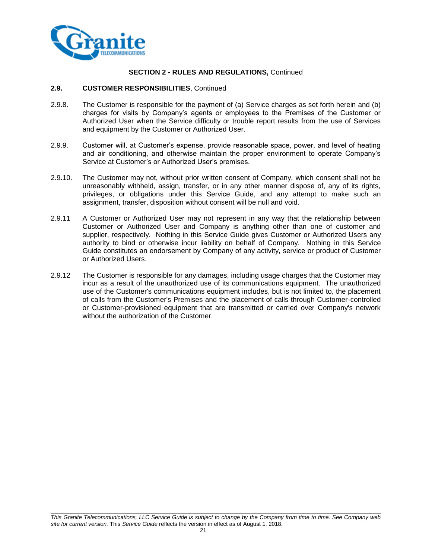

## **2.9. CUSTOMER RESPONSIBILITIES**, Continued

- 2.9.8. The Customer is responsible for the payment of (a) Service charges as set forth herein and (b) charges for visits by Company's agents or employees to the Premises of the Customer or Authorized User when the Service difficulty or trouble report results from the use of Services and equipment by the Customer or Authorized User.
- 2.9.9. Customer will, at Customer's expense, provide reasonable space, power, and level of heating and air conditioning, and otherwise maintain the proper environment to operate Company's Service at Customer's or Authorized User's premises.
- 2.9.10. The Customer may not, without prior written consent of Company, which consent shall not be unreasonably withheld, assign, transfer, or in any other manner dispose of, any of its rights, privileges, or obligations under this Service Guide, and any attempt to make such an assignment, transfer, disposition without consent will be null and void.
- 2.9.11 A Customer or Authorized User may not represent in any way that the relationship between Customer or Authorized User and Company is anything other than one of customer and supplier, respectively. Nothing in this Service Guide gives Customer or Authorized Users any authority to bind or otherwise incur liability on behalf of Company. Nothing in this Service Guide constitutes an endorsement by Company of any activity, service or product of Customer or Authorized Users.
- 2.9.12 The Customer is responsible for any damages, including usage charges that the Customer may incur as a result of the unauthorized use of its communications equipment. The unauthorized use of the Customer's communications equipment includes, but is not limited to, the placement of calls from the Customer's Premises and the placement of calls through Customer-controlled or Customer-provisioned equipment that are transmitted or carried over Company's network without the authorization of the Customer.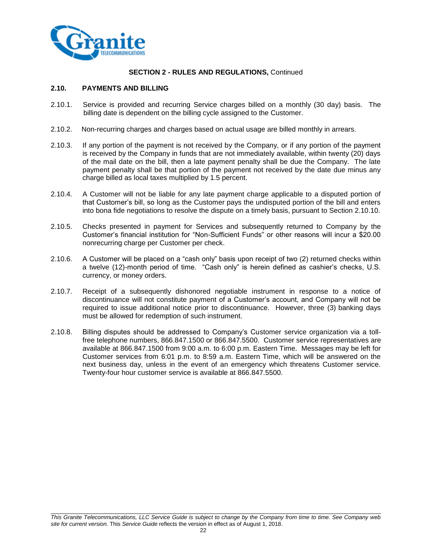

## **2.10. PAYMENTS AND BILLING**

- 2.10.1. Service is provided and recurring Service charges billed on a monthly (30 day) basis. The billing date is dependent on the billing cycle assigned to the Customer.
- 2.10.2. Non-recurring charges and charges based on actual usage are billed monthly in arrears.
- 2.10.3. If any portion of the payment is not received by the Company, or if any portion of the payment is received by the Company in funds that are not immediately available, within twenty (20) days of the mail date on the bill, then a late payment penalty shall be due the Company. The late payment penalty shall be that portion of the payment not received by the date due minus any charge billed as local taxes multiplied by 1.5 percent.
- 2.10.4. A Customer will not be liable for any late payment charge applicable to a disputed portion of that Customer's bill, so long as the Customer pays the undisputed portion of the bill and enters into bona fide negotiations to resolve the dispute on a timely basis, pursuant to Section 2.10.10.
- 2.10.5. Checks presented in payment for Services and subsequently returned to Company by the Customer's financial institution for "Non-Sufficient Funds" or other reasons will incur a \$20.00 nonrecurring charge per Customer per check.
- 2.10.6. A Customer will be placed on a "cash only" basis upon receipt of two (2) returned checks within a twelve (12)-month period of time. "Cash only" is herein defined as cashier's checks, U.S. currency, or money orders.
- 2.10.7. Receipt of a subsequently dishonored negotiable instrument in response to a notice of discontinuance will not constitute payment of a Customer's account, and Company will not be required to issue additional notice prior to discontinuance. However, three (3) banking days must be allowed for redemption of such instrument.
- 2.10.8. Billing disputes should be addressed to Company's Customer service organization via a tollfree telephone numbers, 866.847.1500 or 866.847.5500.Customer service representatives are available at 866.847.1500 from 9:00 a.m. to 6:00 p.m. Eastern Time. Messages may be left for Customer services from 6:01 p.m. to 8:59 a.m. Eastern Time, which will be answered on the next business day, unless in the event of an emergency which threatens Customer service. Twenty-four hour customer service is available at 866.847.5500.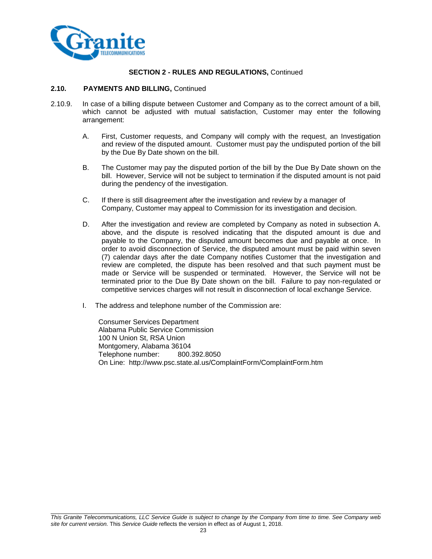

#### **2.10. PAYMENTS AND BILLING,** Continued

- 2.10.9. In case of a billing dispute between Customer and Company as to the correct amount of a bill, which cannot be adjusted with mutual satisfaction, Customer may enter the following arrangement:
	- A. First, Customer requests, and Company will comply with the request, an Investigation and review of the disputed amount. Customer must pay the undisputed portion of the bill by the Due By Date shown on the bill.
	- B. The Customer may pay the disputed portion of the bill by the Due By Date shown on the bill. However, Service will not be subject to termination if the disputed amount is not paid during the pendency of the investigation.
	- C. If there is still disagreement after the investigation and review by a manager of Company, Customer may appeal to Commission for its investigation and decision.
	- D. After the investigation and review are completed by Company as noted in subsection A. above, and the dispute is resolved indicating that the disputed amount is due and payable to the Company, the disputed amount becomes due and payable at once. In order to avoid disconnection of Service, the disputed amount must be paid within seven (7) calendar days after the date Company notifies Customer that the investigation and review are completed, the dispute has been resolved and that such payment must be made or Service will be suspended or terminated. However, the Service will not be terminated prior to the Due By Date shown on the bill. Failure to pay non-regulated or competitive services charges will not result in disconnection of local exchange Service.
	- I. The address and telephone number of the Commission are:

Consumer Services Department Alabama Public Service Commission 100 N Union St, RSA Union Montgomery, Alabama 36104 Telephone number: 800.392.8050 On Line: http://www.psc.state.al.us/ComplaintForm/ComplaintForm.htm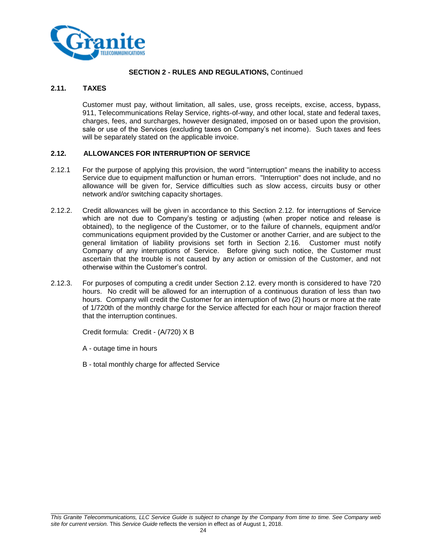

## **2.11. TAXES**

Customer must pay, without limitation, all sales, use, gross receipts, excise, access, bypass, 911, Telecommunications Relay Service, rights-of-way, and other local, state and federal taxes, charges, fees, and surcharges, however designated, imposed on or based upon the provision, sale or use of the Services (excluding taxes on Company's net income). Such taxes and fees will be separately stated on the applicable invoice.

## **2.12. ALLOWANCES FOR INTERRUPTION OF SERVICE**

- 2.12.1 For the purpose of applying this provision, the word "interruption" means the inability to access Service due to equipment malfunction or human errors. "Interruption" does not include, and no allowance will be given for, Service difficulties such as slow access, circuits busy or other network and/or switching capacity shortages.
- 2.12.2. Credit allowances will be given in accordance to this Section 2.12. for interruptions of Service which are not due to Company's testing or adjusting (when proper notice and release is obtained), to the negligence of the Customer, or to the failure of channels, equipment and/or communications equipment provided by the Customer or another Carrier, and are subject to the general limitation of liability provisions set forth in Section 2.16. Customer must notify Company of any interruptions of Service. Before giving such notice, the Customer must ascertain that the trouble is not caused by any action or omission of the Customer, and not otherwise within the Customer's control.
- 2.12.3. For purposes of computing a credit under Section 2.12. every month is considered to have 720 hours. No credit will be allowed for an interruption of a continuous duration of less than two hours. Company will credit the Customer for an interruption of two (2) hours or more at the rate of 1/720th of the monthly charge for the Service affected for each hour or major fraction thereof that the interruption continues.

Credit formula: Credit - (A/720) X B

- A outage time in hours
- B total monthly charge for affected Service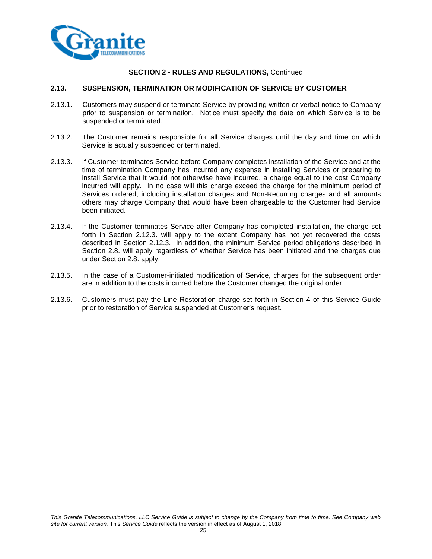

## **2.13. SUSPENSION, TERMINATION OR MODIFICATION OF SERVICE BY CUSTOMER**

- 2.13.1. Customers may suspend or terminate Service by providing written or verbal notice to Company prior to suspension or termination. Notice must specify the date on which Service is to be suspended or terminated.
- 2.13.2. The Customer remains responsible for all Service charges until the day and time on which Service is actually suspended or terminated.
- 2.13.3. If Customer terminates Service before Company completes installation of the Service and at the time of termination Company has incurred any expense in installing Services or preparing to install Service that it would not otherwise have incurred, a charge equal to the cost Company incurred will apply. In no case will this charge exceed the charge for the minimum period of Services ordered, including installation charges and Non-Recurring charges and all amounts others may charge Company that would have been chargeable to the Customer had Service been initiated.
- 2.13.4. If the Customer terminates Service after Company has completed installation, the charge set forth in Section 2.12.3. will apply to the extent Company has not yet recovered the costs described in Section 2.12.3. In addition, the minimum Service period obligations described in Section 2.8. will apply regardless of whether Service has been initiated and the charges due under Section 2.8. apply.
- 2.13.5. In the case of a Customer-initiated modification of Service, charges for the subsequent order are in addition to the costs incurred before the Customer changed the original order.
- 2.13.6. Customers must pay the Line Restoration charge set forth in Section 4 of this Service Guide prior to restoration of Service suspended at Customer's request.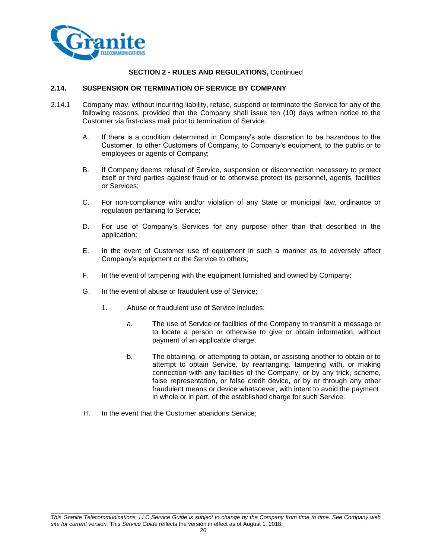

#### **2.14. SUSPENSION OR TERMINATION OF SERVICE BY COMPANY**

- 2.14.1 Company may, without incurring liability, refuse, suspend or terminate the Service for any of the following reasons, provided that the Company shall issue ten (10) days written notice to the Customer via first-class mail prior to termination of Service.
	- A. If there is a condition determined in Company's sole discretion to be hazardous to the Customer, to other Customers of Company, to Company's equipment, to the public or to employees or agents of Company;
	- B. If Company deems refusal of Service, suspension or disconnection necessary to protect itself or third parties against fraud or to otherwise protect its personnel, agents, facilities or Services;
	- C. For non-compliance with and/or violation of any State or municipal law, ordinance or regulation pertaining to Service;
	- D. For use of Company's Services for any purpose other than that described in the application;
	- E. In the event of Customer use of equipment in such a manner as to adversely affect Company's equipment or the Service to others;
	- F. In the event of tampering with the equipment furnished and owned by Company;
	- G. In the event of abuse or fraudulent use of Service;
		- 1. Abuse or fraudulent use of Service includes:
			- a. The use of Service or facilities of the Company to transmit a message or to locate a person or otherwise to give or obtain information, without payment of an applicable charge;
			- b. The obtaining, or attempting to obtain, or assisting another to obtain or to attempt to obtain Service, by rearranging, tampering with, or making connection with any facilities of the Company, or by any trick, scheme, false representation, or false credit device, or by or through any other fraudulent means or device whatsoever, with intent to avoid the payment, in whole or in part, of the established charge for such Service.
	- H. In the event that the Customer abandons Service;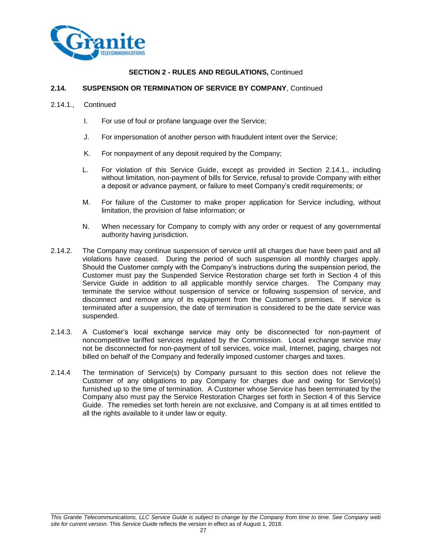

## **2.14. SUSPENSION OR TERMINATION OF SERVICE BY COMPANY**, Continued

- 2.14.1., Continued
	- I. For use of foul or profane language over the Service;
	- J. For impersonation of another person with fraudulent intent over the Service;
	- K. For nonpayment of any deposit required by the Company;
	- L. For violation of this Service Guide, except as provided in Section 2.14.1., including without limitation, non-payment of bills for Service, refusal to provide Company with either a deposit or advance payment, or failure to meet Company's credit requirements; or
	- M. For failure of the Customer to make proper application for Service including, without limitation, the provision of false information; or
	- N. When necessary for Company to comply with any order or request of any governmental authority having jurisdiction.
- 2.14.2. The Company may continue suspension of service until all charges due have been paid and all violations have ceased. During the period of such suspension all monthly charges apply. Should the Customer comply with the Company's instructions during the suspension period, the Customer must pay the Suspended Service Restoration charge set forth in Section 4 of this Service Guide in addition to all applicable monthly service charges. The Company may terminate the service without suspension of service or following suspension of service, and disconnect and remove any of its equipment from the Customer's premises. If service is terminated after a suspension, the date of termination is considered to be the date service was suspended.
- 2.14.3. A Customer's local exchange service may only be disconnected for non-payment of noncompetitive tariffed services regulated by the Commission. Local exchange service may not be disconnected for non-payment of toll services, voice mail, Internet, paging, charges not billed on behalf of the Company and federally imposed customer charges and taxes.
- 2.14.4 The termination of Service(s) by Company pursuant to this section does not relieve the Customer of any obligations to pay Company for charges due and owing for Service(s) furnished up to the time of termination. A Customer whose Service has been terminated by the Company also must pay the Service Restoration Charges set forth in Section 4 of this Service Guide. The remedies set forth herein are not exclusive, and Company is at all times entitled to all the rights available to it under law or equity.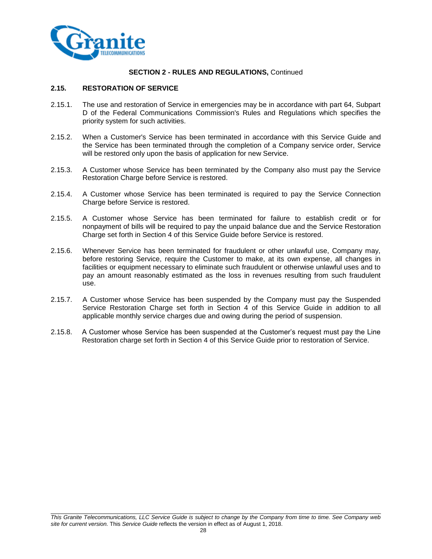

## **2.15. RESTORATION OF SERVICE**

- 2.15.1. The use and restoration of Service in emergencies may be in accordance with part 64, Subpart D of the Federal Communications Commission's Rules and Regulations which specifies the priority system for such activities.
- 2.15.2. When a Customer's Service has been terminated in accordance with this Service Guide and the Service has been terminated through the completion of a Company service order, Service will be restored only upon the basis of application for new Service.
- 2.15.3. A Customer whose Service has been terminated by the Company also must pay the Service Restoration Charge before Service is restored.
- 2.15.4. A Customer whose Service has been terminated is required to pay the Service Connection Charge before Service is restored.
- 2.15.5. A Customer whose Service has been terminated for failure to establish credit or for nonpayment of bills will be required to pay the unpaid balance due and the Service Restoration Charge set forth in Section 4 of this Service Guide before Service is restored.
- 2.15.6. Whenever Service has been terminated for fraudulent or other unlawful use, Company may, before restoring Service, require the Customer to make, at its own expense, all changes in facilities or equipment necessary to eliminate such fraudulent or otherwise unlawful uses and to pay an amount reasonably estimated as the loss in revenues resulting from such fraudulent use.
- 2.15.7. A Customer whose Service has been suspended by the Company must pay the Suspended Service Restoration Charge set forth in Section 4 of this Service Guide in addition to all applicable monthly service charges due and owing during the period of suspension.
- 2.15.8. A Customer whose Service has been suspended at the Customer's request must pay the Line Restoration charge set forth in Section 4 of this Service Guide prior to restoration of Service.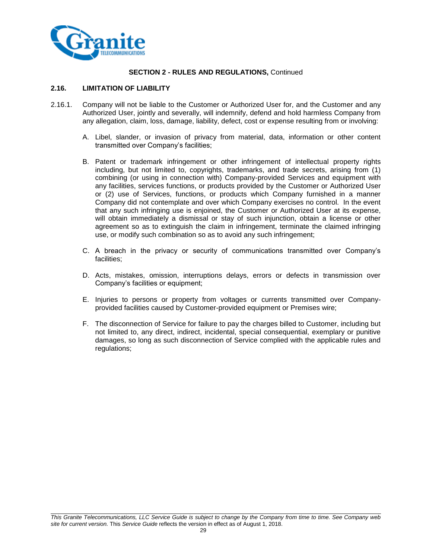

## **2.16. LIMITATION OF LIABILITY**

- 2.16.1. Company will not be liable to the Customer or Authorized User for, and the Customer and any Authorized User, jointly and severally, will indemnify, defend and hold harmless Company from any allegation, claim, loss, damage, liability, defect, cost or expense resulting from or involving:
	- A. Libel, slander, or invasion of privacy from material, data, information or other content transmitted over Company's facilities;
	- B. Patent or trademark infringement or other infringement of intellectual property rights including, but not limited to, copyrights, trademarks, and trade secrets, arising from (1) combining (or using in connection with) Company-provided Services and equipment with any facilities, services functions, or products provided by the Customer or Authorized User or (2) use of Services, functions, or products which Company furnished in a manner Company did not contemplate and over which Company exercises no control. In the event that any such infringing use is enjoined, the Customer or Authorized User at its expense, will obtain immediately a dismissal or stay of such injunction, obtain a license or other agreement so as to extinguish the claim in infringement, terminate the claimed infringing use, or modify such combination so as to avoid any such infringement;
	- C. A breach in the privacy or security of communications transmitted over Company's facilities;
	- D. Acts, mistakes, omission, interruptions delays, errors or defects in transmission over Company's facilities or equipment;
	- E. Injuries to persons or property from voltages or currents transmitted over Companyprovided facilities caused by Customer-provided equipment or Premises wire;
	- F. The disconnection of Service for failure to pay the charges billed to Customer, including but not limited to, any direct, indirect, incidental, special consequential, exemplary or punitive damages, so long as such disconnection of Service complied with the applicable rules and regulations;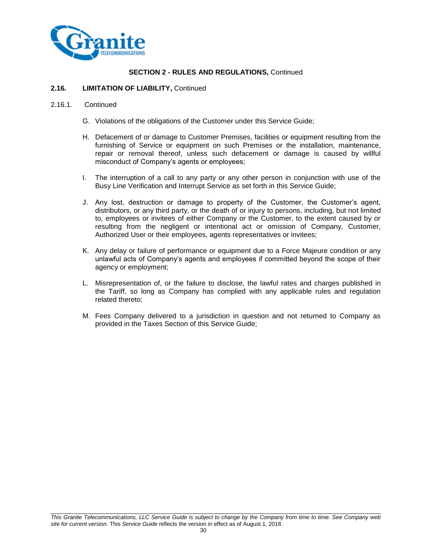

#### **2.16. LIMITATION OF LIABILITY,** Continued

#### 2.16.1. Continued

- G. Violations of the obligations of the Customer under this Service Guide;
- H. Defacement of or damage to Customer Premises, facilities or equipment resulting from the furnishing of Service or equipment on such Premises or the installation, maintenance, repair or removal thereof, unless such defacement or damage is caused by willful misconduct of Company's agents or employees;
- I. The interruption of a call to any party or any other person in conjunction with use of the Busy Line Verification and Interrupt Service as set forth in this Service Guide;
- J. Any lost, destruction or damage to property of the Customer, the Customer's agent, distributors, or any third party, or the death of or injury to persons, including, but not limited to, employees or invitees of either Company or the Customer, to the extent caused by or resulting from the negligent or intentional act or omission of Company, Customer, Authorized User or their employees, agents representatives or invitees;
- K. Any delay or failure of performance or equipment due to a Force Majeure condition or any unlawful acts of Company's agents and employees if committed beyond the scope of their agency or employment;
- L. Misrepresentation of, or the failure to disclose, the lawful rates and charges published in the Tariff, so long as Company has complied with any applicable rules and regulation related thereto;
- M. Fees Company delivered to a jurisdiction in question and not returned to Company as provided in the Taxes Section of this Service Guide;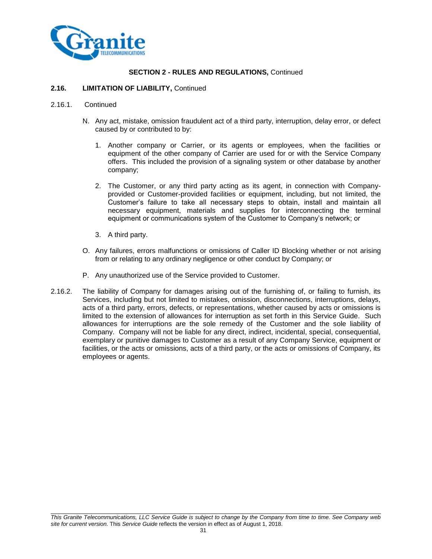

#### **2.16. LIMITATION OF LIABILITY,** Continued

#### 2.16.1. Continued

- N. Any act, mistake, omission fraudulent act of a third party, interruption, delay error, or defect caused by or contributed to by:
	- 1. Another company or Carrier, or its agents or employees, when the facilities or equipment of the other company of Carrier are used for or with the Service Company offers. This included the provision of a signaling system or other database by another company;
	- 2. The Customer, or any third party acting as its agent, in connection with Companyprovided or Customer-provided facilities or equipment, including, but not limited, the Customer's failure to take all necessary steps to obtain, install and maintain all necessary equipment, materials and supplies for interconnecting the terminal equipment or communications system of the Customer to Company's network; or
	- 3. A third party.
- O. Any failures, errors malfunctions or omissions of Caller ID Blocking whether or not arising from or relating to any ordinary negligence or other conduct by Company; or
- P. Any unauthorized use of the Service provided to Customer.
- 2.16.2. The liability of Company for damages arising out of the furnishing of, or failing to furnish, its Services, including but not limited to mistakes, omission, disconnections, interruptions, delays, acts of a third party, errors, defects, or representations, whether caused by acts or omissions is limited to the extension of allowances for interruption as set forth in this Service Guide. Such allowances for interruptions are the sole remedy of the Customer and the sole liability of Company. Company will not be liable for any direct, indirect, incidental, special, consequential, exemplary or punitive damages to Customer as a result of any Company Service, equipment or facilities, or the acts or omissions, acts of a third party, or the acts or omissions of Company, its employees or agents.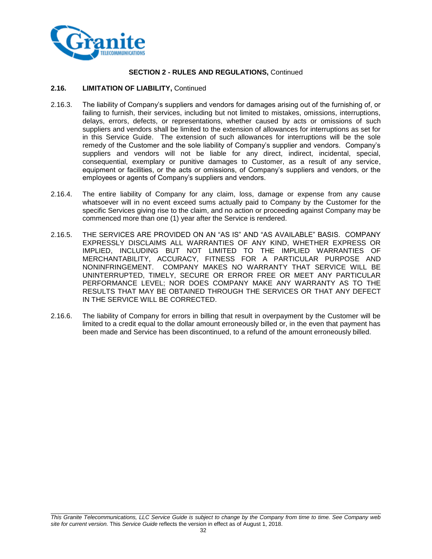

#### **2.16. LIMITATION OF LIABILITY,** Continued

- 2.16.3. The liability of Company's suppliers and vendors for damages arising out of the furnishing of, or failing to furnish, their services, including but not limited to mistakes, omissions, interruptions, delays, errors, defects, or representations, whether caused by acts or omissions of such suppliers and vendors shall be limited to the extension of allowances for interruptions as set for in this Service Guide. The extension of such allowances for interruptions will be the sole remedy of the Customer and the sole liability of Company's supplier and vendors. Company's suppliers and vendors will not be liable for any direct, indirect, incidental, special, consequential, exemplary or punitive damages to Customer, as a result of any service, equipment or facilities, or the acts or omissions, of Company's suppliers and vendors, or the employees or agents of Company's suppliers and vendors.
- 2.16.4. The entire liability of Company for any claim, loss, damage or expense from any cause whatsoever will in no event exceed sums actually paid to Company by the Customer for the specific Services giving rise to the claim, and no action or proceeding against Company may be commenced more than one (1) year after the Service is rendered.
- 2.16.5. THE SERVICES ARE PROVIDED ON AN "AS IS" AND "AS AVAILABLE" BASIS. COMPANY EXPRESSLY DISCLAIMS ALL WARRANTIES OF ANY KIND, WHETHER EXPRESS OR IMPLIED, INCLUDING BUT NOT LIMITED TO THE IMPLIED WARRANTIES OF MERCHANTABILITY, ACCURACY, FITNESS FOR A PARTICULAR PURPOSE AND NONINFRINGEMENT. COMPANY MAKES NO WARRANTY THAT SERVICE WILL BE UNINTERRUPTED, TIMELY, SECURE OR ERROR FREE OR MEET ANY PARTICULAR PERFORMANCE LEVEL; NOR DOES COMPANY MAKE ANY WARRANTY AS TO THE RESULTS THAT MAY BE OBTAINED THROUGH THE SERVICES OR THAT ANY DEFECT IN THE SERVICE WILL BE CORRECTED.
- 2.16.6. The liability of Company for errors in billing that result in overpayment by the Customer will be limited to a credit equal to the dollar amount erroneously billed or, in the even that payment has been made and Service has been discontinued, to a refund of the amount erroneously billed.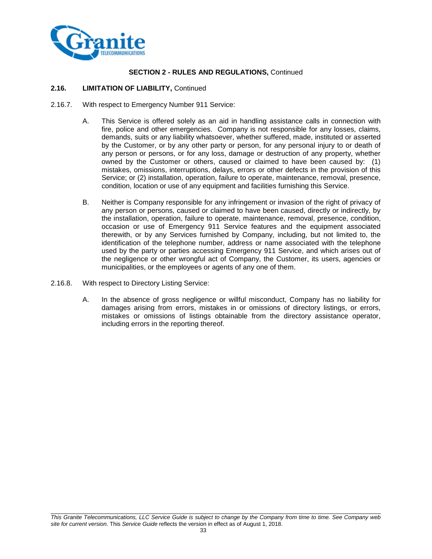

## **2.16. LIMITATION OF LIABILITY,** Continued

- 2.16.7. With respect to Emergency Number 911 Service:
	- A. This Service is offered solely as an aid in handling assistance calls in connection with fire, police and other emergencies. Company is not responsible for any losses, claims, demands, suits or any liability whatsoever, whether suffered, made, instituted or asserted by the Customer, or by any other party or person, for any personal injury to or death of any person or persons, or for any loss, damage or destruction of any property, whether owned by the Customer or others, caused or claimed to have been caused by: (1) mistakes, omissions, interruptions, delays, errors or other defects in the provision of this Service; or (2) installation, operation, failure to operate, maintenance, removal, presence, condition, location or use of any equipment and facilities furnishing this Service.
	- B. Neither is Company responsible for any infringement or invasion of the right of privacy of any person or persons, caused or claimed to have been caused, directly or indirectly, by the installation, operation, failure to operate, maintenance, removal, presence, condition, occasion or use of Emergency 911 Service features and the equipment associated therewith, or by any Services furnished by Company, including, but not limited to, the identification of the telephone number, address or name associated with the telephone used by the party or parties accessing Emergency 911 Service, and which arises out of the negligence or other wrongful act of Company, the Customer, its users, agencies or municipalities, or the employees or agents of any one of them.
- 2.16.8. With respect to Directory Listing Service:
	- A. In the absence of gross negligence or willful misconduct, Company has no liability for damages arising from errors, mistakes in or omissions of directory listings, or errors, mistakes or omissions of listings obtainable from the directory assistance operator, including errors in the reporting thereof.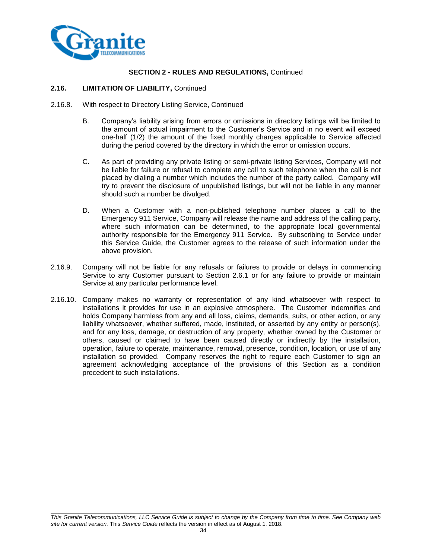

#### **2.16. LIMITATION OF LIABILITY,** Continued

- 2.16.8. With respect to Directory Listing Service, Continued
	- B. Company's liability arising from errors or omissions in directory listings will be limited to the amount of actual impairment to the Customer's Service and in no event will exceed one-half (1/2) the amount of the fixed monthly charges applicable to Service affected during the period covered by the directory in which the error or omission occurs.
	- C. As part of providing any private listing or semi-private listing Services, Company will not be liable for failure or refusal to complete any call to such telephone when the call is not placed by dialing a number which includes the number of the party called. Company will try to prevent the disclosure of unpublished listings, but will not be liable in any manner should such a number be divulged.
	- D. When a Customer with a non-published telephone number places a call to the Emergency 911 Service, Company will release the name and address of the calling party, where such information can be determined, to the appropriate local governmental authority responsible for the Emergency 911 Service. By subscribing to Service under this Service Guide, the Customer agrees to the release of such information under the above provision.
- 2.16.9. Company will not be liable for any refusals or failures to provide or delays in commencing Service to any Customer pursuant to Section 2.6.1 or for any failure to provide or maintain Service at any particular performance level.
- 2.16.10. Company makes no warranty or representation of any kind whatsoever with respect to installations it provides for use in an explosive atmosphere. The Customer indemnifies and holds Company harmless from any and all loss, claims, demands, suits, or other action, or any liability whatsoever, whether suffered, made, instituted, or asserted by any entity or person(s), and for any loss, damage, or destruction of any property, whether owned by the Customer or others, caused or claimed to have been caused directly or indirectly by the installation, operation, failure to operate, maintenance, removal, presence, condition, location, or use of any installation so provided. Company reserves the right to require each Customer to sign an agreement acknowledging acceptance of the provisions of this Section as a condition precedent to such installations.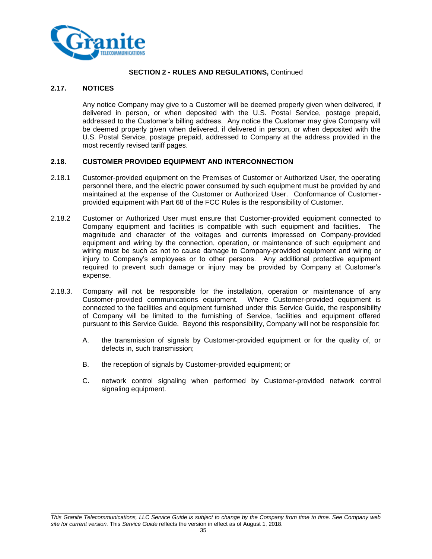

## **2.17. NOTICES**

Any notice Company may give to a Customer will be deemed properly given when delivered, if delivered in person, or when deposited with the U.S. Postal Service, postage prepaid, addressed to the Customer's billing address. Any notice the Customer may give Company will be deemed properly given when delivered, if delivered in person, or when deposited with the U.S. Postal Service, postage prepaid, addressed to Company at the address provided in the most recently revised tariff pages.

## **2.18. CUSTOMER PROVIDED EQUIPMENT AND INTERCONNECTION**

- 2.18.1 Customer-provided equipment on the Premises of Customer or Authorized User, the operating personnel there, and the electric power consumed by such equipment must be provided by and maintained at the expense of the Customer or Authorized User. Conformance of Customerprovided equipment with Part 68 of the FCC Rules is the responsibility of Customer.
- 2.18.2 Customer or Authorized User must ensure that Customer-provided equipment connected to Company equipment and facilities is compatible with such equipment and facilities. The magnitude and character of the voltages and currents impressed on Company-provided equipment and wiring by the connection, operation, or maintenance of such equipment and wiring must be such as not to cause damage to Company-provided equipment and wiring or injury to Company's employees or to other persons. Any additional protective equipment required to prevent such damage or injury may be provided by Company at Customer's expense.
- 2.18.3. Company will not be responsible for the installation, operation or maintenance of any Customer-provided communications equipment. Where Customer-provided equipment is connected to the facilities and equipment furnished under this Service Guide, the responsibility of Company will be limited to the furnishing of Service, facilities and equipment offered pursuant to this Service Guide. Beyond this responsibility, Company will not be responsible for:
	- A. the transmission of signals by Customer-provided equipment or for the quality of, or defects in, such transmission;
	- B. the reception of signals by Customer-provided equipment; or
	- C. network control signaling when performed by Customer-provided network control signaling equipment.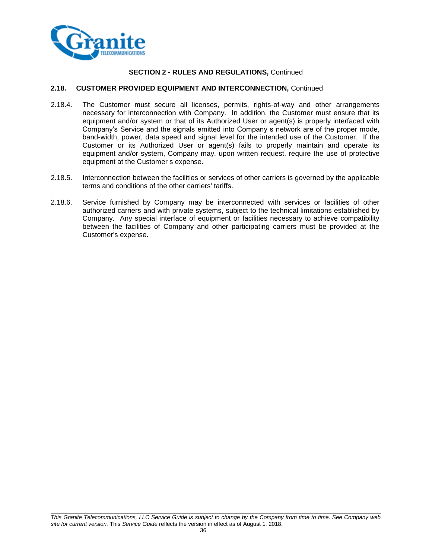

#### **2.18. CUSTOMER PROVIDED EQUIPMENT AND INTERCONNECTION,** Continued

- 2.18.4. The Customer must secure all licenses, permits, rights-of-way and other arrangements necessary for interconnection with Company. In addition, the Customer must ensure that its equipment and/or system or that of its Authorized User or agent(s) is properly interfaced with Company's Service and the signals emitted into Company s network are of the proper mode, band-width, power, data speed and signal level for the intended use of the Customer. If the Customer or its Authorized User or agent(s) fails to properly maintain and operate its equipment and/or system, Company may, upon written request, require the use of protective equipment at the Customer s expense.
- 2.18.5. Interconnection between the facilities or services of other carriers is governed by the applicable terms and conditions of the other carriers' tariffs.
- 2.18.6. Service furnished by Company may be interconnected with services or facilities of other authorized carriers and with private systems, subject to the technical limitations established by Company. Any special interface of equipment or facilities necessary to achieve compatibility between the facilities of Company and other participating carriers must be provided at the Customer's expense.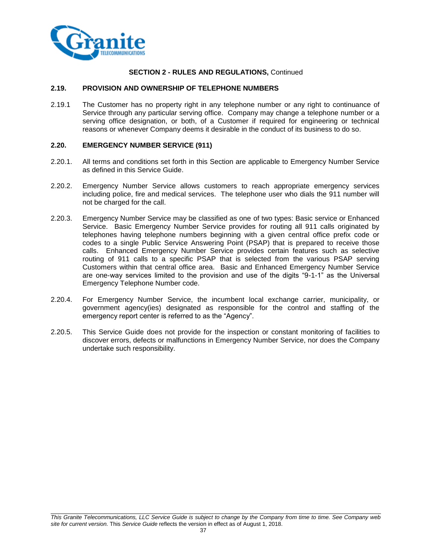

# **SECTION 2 - RULES AND REGULATIONS,** Continued

#### **2.19. PROVISION AND OWNERSHIP OF TELEPHONE NUMBERS**

2.19.1 The Customer has no property right in any telephone number or any right to continuance of Service through any particular serving office. Company may change a telephone number or a serving office designation, or both, of a Customer if required for engineering or technical reasons or whenever Company deems it desirable in the conduct of its business to do so.

#### **2.20. EMERGENCY NUMBER SERVICE (911)**

- 2.20.1. All terms and conditions set forth in this Section are applicable to Emergency Number Service as defined in this Service Guide.
- 2.20.2. Emergency Number Service allows customers to reach appropriate emergency services including police, fire and medical services. The telephone user who dials the 911 number will not be charged for the call.
- 2.20.3. Emergency Number Service may be classified as one of two types: Basic service or Enhanced Service. Basic Emergency Number Service provides for routing all 911 calls originated by telephones having telephone numbers beginning with a given central office prefix code or codes to a single Public Service Answering Point (PSAP) that is prepared to receive those calls. Enhanced Emergency Number Service provides certain features such as selective routing of 911 calls to a specific PSAP that is selected from the various PSAP serving Customers within that central office area. Basic and Enhanced Emergency Number Service are one-way services limited to the provision and use of the digits "9-1-1" as the Universal Emergency Telephone Number code.
- 2.20.4. For Emergency Number Service, the incumbent local exchange carrier, municipality, or government agency(ies) designated as responsible for the control and staffing of the emergency report center is referred to as the "Agency".
- 2.20.5. This Service Guide does not provide for the inspection or constant monitoring of facilities to discover errors, defects or malfunctions in Emergency Number Service, nor does the Company undertake such responsibility.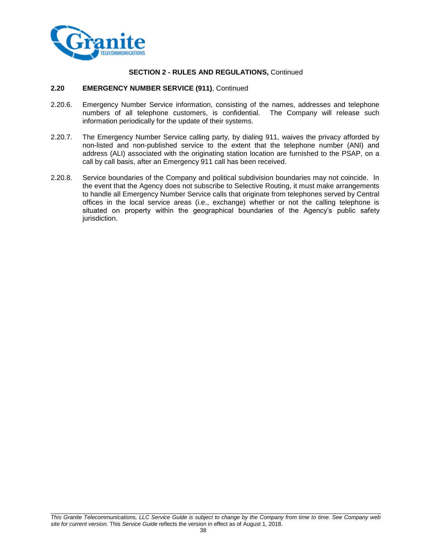

#### **SECTION 2 - RULES AND REGULATIONS,** Continued

#### **2.20 EMERGENCY NUMBER SERVICE (911)**, Continued

- 2.20.6. Emergency Number Service information, consisting of the names, addresses and telephone numbers of all telephone customers, is confidential. The Company will release such information periodically for the update of their systems.
- 2.20.7. The Emergency Number Service calling party, by dialing 911, waives the privacy afforded by non-listed and non-published service to the extent that the telephone number (ANI) and address (ALI) associated with the originating station location are furnished to the PSAP, on a call by call basis, after an Emergency 911 call has been received.
- 2.20.8. Service boundaries of the Company and political subdivision boundaries may not coincide. In the event that the Agency does not subscribe to Selective Routing, it must make arrangements to handle all Emergency Number Service calls that originate from telephones served by Central offices in the local service areas (i.e., exchange) whether or not the calling telephone is situated on property within the geographical boundaries of the Agency's public safety jurisdiction.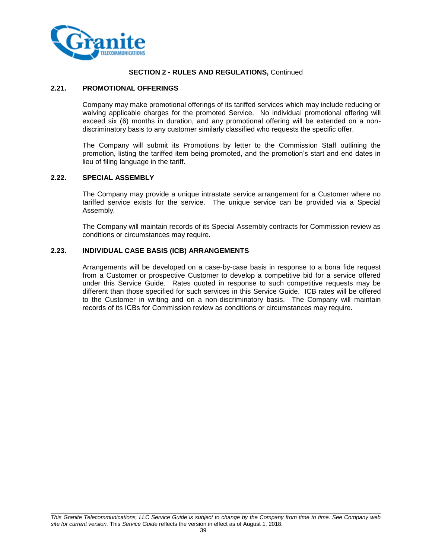

#### **SECTION 2 - RULES AND REGULATIONS,** Continued

#### **2.21. PROMOTIONAL OFFERINGS**

Company may make promotional offerings of its tariffed services which may include reducing or waiving applicable charges for the promoted Service. No individual promotional offering will exceed six (6) months in duration, and any promotional offering will be extended on a nondiscriminatory basis to any customer similarly classified who requests the specific offer.

The Company will submit its Promotions by letter to the Commission Staff outlining the promotion, listing the tariffed item being promoted, and the promotion's start and end dates in lieu of filing language in the tariff.

#### **2.22. SPECIAL ASSEMBLY**

The Company may provide a unique intrastate service arrangement for a Customer where no tariffed service exists for the service. The unique service can be provided via a Special Assembly.

The Company will maintain records of its Special Assembly contracts for Commission review as conditions or circumstances may require.

#### **2.23. INDIVIDUAL CASE BASIS (ICB) ARRANGEMENTS**

Arrangements will be developed on a case-by-case basis in response to a bona fide request from a Customer or prospective Customer to develop a competitive bid for a service offered under this Service Guide. Rates quoted in response to such competitive requests may be different than those specified for such services in this Service Guide. ICB rates will be offered to the Customer in writing and on a non-discriminatory basis. The Company will maintain records of its ICBs for Commission review as conditions or circumstances may require.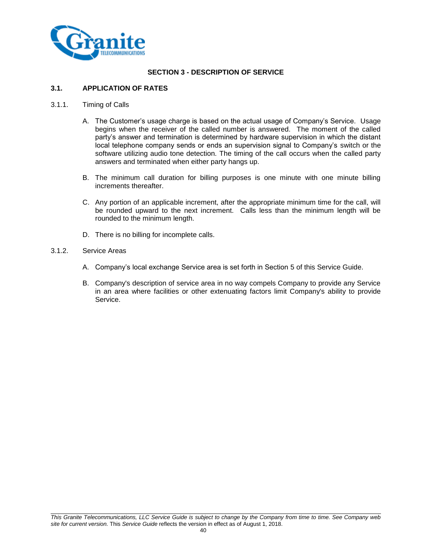

# **SECTION 3 - DESCRIPTION OF SERVICE**

# **3.1. APPLICATION OF RATES**

- 3.1.1. Timing of Calls
	- A. The Customer's usage charge is based on the actual usage of Company's Service. Usage begins when the receiver of the called number is answered. The moment of the called party's answer and termination is determined by hardware supervision in which the distant local telephone company sends or ends an supervision signal to Company's switch or the software utilizing audio tone detection. The timing of the call occurs when the called party answers and terminated when either party hangs up.
	- B. The minimum call duration for billing purposes is one minute with one minute billing increments thereafter.
	- C. Any portion of an applicable increment, after the appropriate minimum time for the call, will be rounded upward to the next increment. Calls less than the minimum length will be rounded to the minimum length.
	- D. There is no billing for incomplete calls.
- 3.1.2. Service Areas
	- A. Company's local exchange Service area is set forth in Section 5 of this Service Guide.
	- B. Company's description of service area in no way compels Company to provide any Service in an area where facilities or other extenuating factors limit Company's ability to provide Service.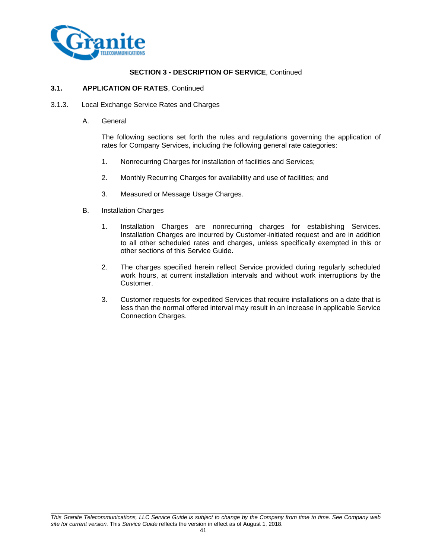

#### **3.1. APPLICATION OF RATES**, Continued

- 3.1.3. Local Exchange Service Rates and Charges
	- A. General

The following sections set forth the rules and regulations governing the application of rates for Company Services, including the following general rate categories:

- 1. Nonrecurring Charges for installation of facilities and Services;
- 2. Monthly Recurring Charges for availability and use of facilities; and
- 3. Measured or Message Usage Charges.
- B. Installation Charges
	- 1. Installation Charges are nonrecurring charges for establishing Services. Installation Charges are incurred by Customer-initiated request and are in addition to all other scheduled rates and charges, unless specifically exempted in this or other sections of this Service Guide.
	- 2. The charges specified herein reflect Service provided during regularly scheduled work hours, at current installation intervals and without work interruptions by the Customer.
	- 3. Customer requests for expedited Services that require installations on a date that is less than the normal offered interval may result in an increase in applicable Service Connection Charges.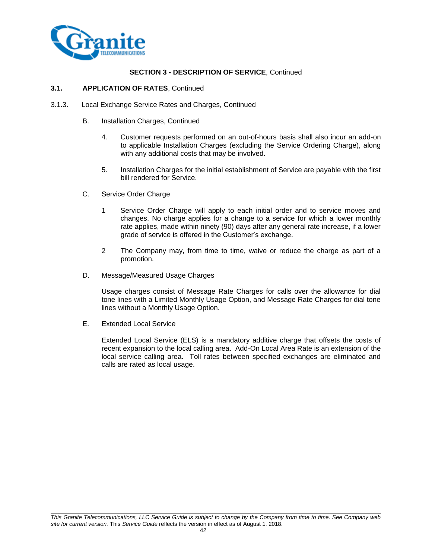

#### **3.1. APPLICATION OF RATES**, Continued

- 3.1.3. Local Exchange Service Rates and Charges, Continued
	- B. Installation Charges, Continued
		- 4. Customer requests performed on an out-of-hours basis shall also incur an add-on to applicable Installation Charges (excluding the Service Ordering Charge), along with any additional costs that may be involved.
		- 5. Installation Charges for the initial establishment of Service are payable with the first bill rendered for Service.
	- C. Service Order Charge
		- 1 Service Order Charge will apply to each initial order and to service moves and changes. No charge applies for a change to a service for which a lower monthly rate applies, made within ninety (90) days after any general rate increase, if a lower grade of service is offered in the Customer's exchange.
		- 2 The Company may, from time to time, waive or reduce the charge as part of a promotion.
	- D. Message/Measured Usage Charges

Usage charges consist of Message Rate Charges for calls over the allowance for dial tone lines with a Limited Monthly Usage Option, and Message Rate Charges for dial tone lines without a Monthly Usage Option.

E. Extended Local Service

Extended Local Service (ELS) is a mandatory additive charge that offsets the costs of recent expansion to the local calling area. Add-On Local Area Rate is an extension of the local service calling area. Toll rates between specified exchanges are eliminated and calls are rated as local usage.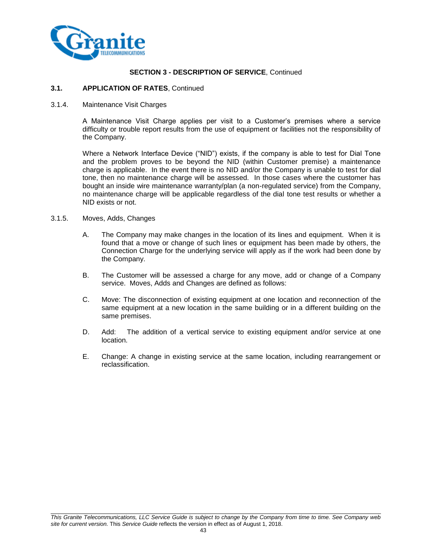

#### **3.1. APPLICATION OF RATES**, Continued

3.1.4. Maintenance Visit Charges

A Maintenance Visit Charge applies per visit to a Customer's premises where a service difficulty or trouble report results from the use of equipment or facilities not the responsibility of the Company.

Where a Network Interface Device ("NID") exists, if the company is able to test for Dial Tone and the problem proves to be beyond the NID (within Customer premise) a maintenance charge is applicable. In the event there is no NID and/or the Company is unable to test for dial tone, then no maintenance charge will be assessed. In those cases where the customer has bought an inside wire maintenance warranty/plan (a non-regulated service) from the Company, no maintenance charge will be applicable regardless of the dial tone test results or whether a NID exists or not.

- 3.1.5. Moves, Adds, Changes
	- A. The Company may make changes in the location of its lines and equipment. When it is found that a move or change of such lines or equipment has been made by others, the Connection Charge for the underlying service will apply as if the work had been done by the Company.
	- B. The Customer will be assessed a charge for any move, add or change of a Company service. Moves, Adds and Changes are defined as follows:
	- C. Move: The disconnection of existing equipment at one location and reconnection of the same equipment at a new location in the same building or in a different building on the same premises.
	- D. Add: The addition of a vertical service to existing equipment and/or service at one location.
	- E. Change: A change in existing service at the same location, including rearrangement or reclassification.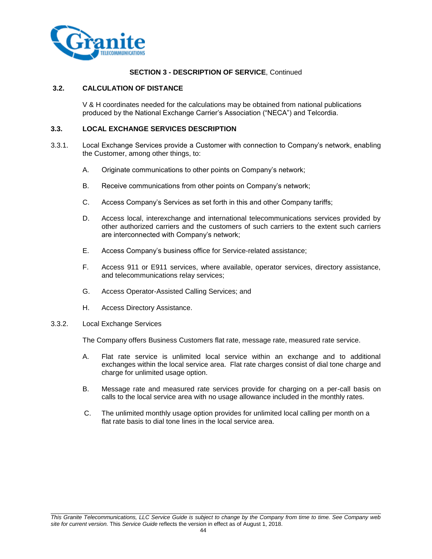

#### **3.2. CALCULATION OF DISTANCE**

V & H coordinates needed for the calculations may be obtained from national publications produced by the National Exchange Carrier's Association ("NECA") and Telcordia.

#### **3.3. LOCAL EXCHANGE SERVICES DESCRIPTION**

- 3.3.1. Local Exchange Services provide a Customer with connection to Company's network, enabling the Customer, among other things, to:
	- A. Originate communications to other points on Company's network;
	- B. Receive communications from other points on Company's network;
	- C. Access Company's Services as set forth in this and other Company tariffs;
	- D. Access local, interexchange and international telecommunications services provided by other authorized carriers and the customers of such carriers to the extent such carriers are interconnected with Company's network;
	- E. Access Company's business office for Service-related assistance;
	- F. Access 911 or E911 services, where available, operator services, directory assistance, and telecommunications relay services;
	- G. Access Operator-Assisted Calling Services; and
	- H. Access Directory Assistance.

#### 3.3.2. Local Exchange Services

The Company offers Business Customers flat rate, message rate, measured rate service.

- A. Flat rate service is unlimited local service within an exchange and to additional exchanges within the local service area. Flat rate charges consist of dial tone charge and charge for unlimited usage option.
- B. Message rate and measured rate services provide for charging on a per-call basis on calls to the local service area with no usage allowance included in the monthly rates.
- C. The unlimited monthly usage option provides for unlimited local calling per month on a flat rate basis to dial tone lines in the local service area.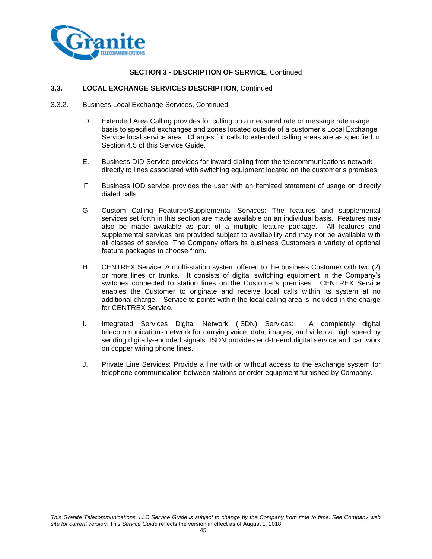

# **3.3. LOCAL EXCHANGE SERVICES DESCRIPTION**, Continued

- 3.3.2. Business Local Exchange Services, Continued
	- D. Extended Area Calling provides for calling on a measured rate or message rate usage basis to specified exchanges and zones located outside of a customer's Local Exchange Service local service area. Charges for calls to extended calling areas are as specified in Section 4.5 of this Service Guide.
	- E. Business DID Service provides for inward dialing from the telecommunications network directly to lines associated with switching equipment located on the customer's premises.
	- F. Business IOD service provides the user with an itemized statement of usage on directly dialed calls.
	- G. Custom Calling Features/Supplemental Services: The features and supplemental services set forth in this section are made available on an individual basis. Features may also be made available as part of a multiple feature package. All features and supplemental services are provided subject to availability and may not be available with all classes of service. The Company offers its business Customers a variety of optional feature packages to choose from.
	- H. CENTREX Service: A multi-station system offered to the business Customer with two (2) or more lines or trunks. It consists of digital switching equipment in the Company's switches connected to station lines on the Customer's premises. CENTREX Service enables the Customer to originate and receive local calls within its system at no additional charge. Service to points within the local calling area is included in the charge for CENTREX Service.
	- I. Integrated Services Digital Network (ISDN) Services: A completely digital telecommunications network for carrying voice, data, images, and video at high speed by sending digitally-encoded signals. ISDN provides end-to-end digital service and can work on copper wiring phone lines.
	- J. Private Line Services: Provide a line with or without access to the exchange system for telephone communication between stations or order equipment furnished by Company.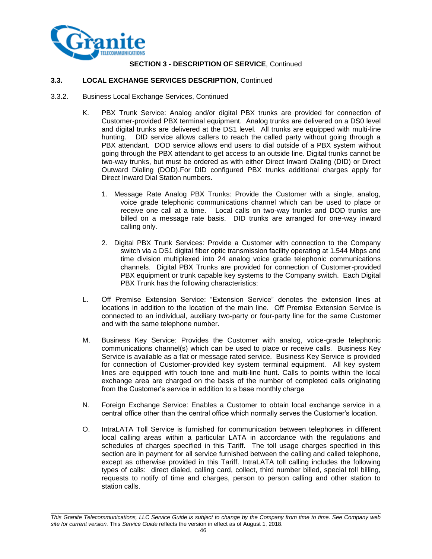

#### **3.3. LOCAL EXCHANGE SERVICES DESCRIPTION**, Continued

- 3.3.2. Business Local Exchange Services, Continued
	- K. PBX Trunk Service: Analog and/or digital PBX trunks are provided for connection of Customer-provided PBX terminal equipment. Analog trunks are delivered on a DS0 level and digital trunks are delivered at the DS1 level. All trunks are equipped with multi-line hunting. DID service allows callers to reach the called party without going through a PBX attendant. DOD service allows end users to dial outside of a PBX system without going through the PBX attendant to get access to an outside line. Digital trunks cannot be two-way trunks, but must be ordered as with either Direct Inward Dialing (DID) or Direct Outward Dialing (DOD).For DID configured PBX trunks additional charges apply for Direct Inward Dial Station numbers.
		- 1. Message Rate Analog PBX Trunks: Provide the Customer with a single, analog, voice grade telephonic communications channel which can be used to place or receive one call at a time. Local calls on two-way trunks and DOD trunks are billed on a message rate basis. DID trunks are arranged for one-way inward calling only.
		- 2. Digital PBX Trunk Services: Provide a Customer with connection to the Company switch via a DS1 digital fiber optic transmission facility operating at 1.544 Mbps and time division multiplexed into 24 analog voice grade telephonic communications channels. Digital PBX Trunks are provided for connection of Customer-provided PBX equipment or trunk capable key systems to the Company switch. Each Digital PBX Trunk has the following characteristics:
	- L. Off Premise Extension Service: "Extension Service" denotes the extension lines at locations in addition to the location of the main line. Off Premise Extension Service is connected to an individual, auxiliary two-party or four-party line for the same Customer and with the same telephone number.
	- M. Business Key Service: Provides the Customer with analog, voice-grade telephonic communications channel(s) which can be used to place or receive calls. Business Key Service is available as a flat or message rated service. Business Key Service is provided for connection of Customer-provided key system terminal equipment. All key system lines are equipped with touch tone and multi-line hunt. Calls to points within the local exchange area are charged on the basis of the number of completed calls originating from the Customer's service in addition to a base monthly charge
	- N. Foreign Exchange Service: Enables a Customer to obtain local exchange service in a central office other than the central office which normally serves the Customer's location.
	- O. IntraLATA Toll Service is furnished for communication between telephones in different local calling areas within a particular LATA in accordance with the regulations and schedules of charges specified in this Tariff. The toll usage charges specified in this section are in payment for all service furnished between the calling and called telephone, except as otherwise provided in this Tariff. IntraLATA toll calling includes the following types of calls: direct dialed, calling card, collect, third number billed, special toll billing, requests to notify of time and charges, person to person calling and other station to station calls.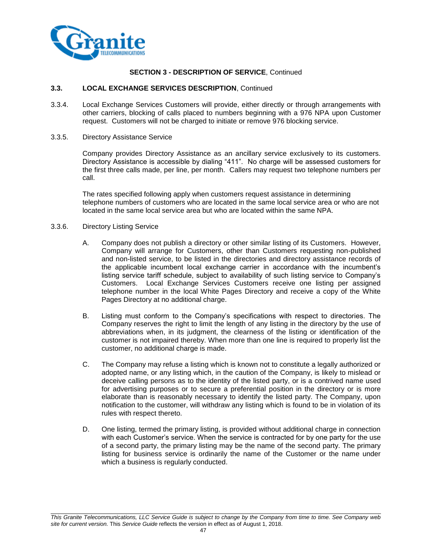

#### **3.3. LOCAL EXCHANGE SERVICES DESCRIPTION**, Continued

- 3.3.4. Local Exchange Services Customers will provide, either directly or through arrangements with other carriers, blocking of calls placed to numbers beginning with a 976 NPA upon Customer request. Customers will not be charged to initiate or remove 976 blocking service.
- 3.3.5. Directory Assistance Service

Company provides Directory Assistance as an ancillary service exclusively to its customers. Directory Assistance is accessible by dialing "411". No charge will be assessed customers for the first three calls made, per line, per month. Callers may request two telephone numbers per call.

The rates specified following apply when customers request assistance in determining telephone numbers of customers who are located in the same local service area or who are not located in the same local service area but who are located within the same NPA.

- 3.3.6. Directory Listing Service
	- A. Company does not publish a directory or other similar listing of its Customers. However, Company will arrange for Customers, other than Customers requesting non-published and non-listed service, to be listed in the directories and directory assistance records of the applicable incumbent local exchange carrier in accordance with the incumbent's listing service tariff schedule, subject to availability of such listing service to Company's Customers. Local Exchange Services Customers receive one listing per assigned telephone number in the local White Pages Directory and receive a copy of the White Pages Directory at no additional charge.
	- B. Listing must conform to the Company's specifications with respect to directories. The Company reserves the right to limit the length of any listing in the directory by the use of abbreviations when, in its judgment, the clearness of the listing or identification of the customer is not impaired thereby. When more than one line is required to properly list the customer, no additional charge is made.
	- C. The Company may refuse a listing which is known not to constitute a legally authorized or adopted name, or any listing which, in the caution of the Company, is likely to mislead or deceive calling persons as to the identity of the listed party, or is a contrived name used for advertising purposes or to secure a preferential position in the directory or is more elaborate than is reasonably necessary to identify the listed party. The Company, upon notification to the customer, will withdraw any listing which is found to be in violation of its rules with respect thereto.
	- D. One listing, termed the primary listing, is provided without additional charge in connection with each Customer's service. When the service is contracted for by one party for the use of a second party, the primary listing may be the name of the second party. The primary listing for business service is ordinarily the name of the Customer or the name under which a business is regularly conducted.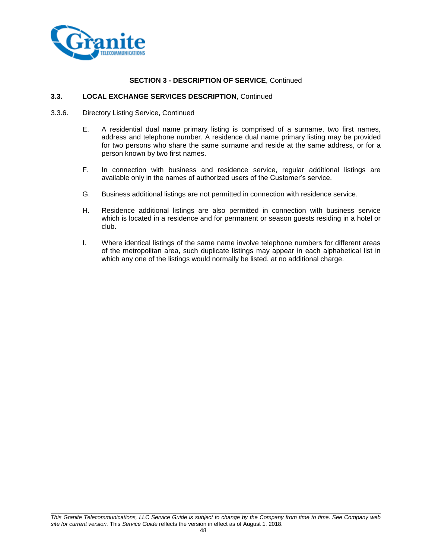

#### **3.3. LOCAL EXCHANGE SERVICES DESCRIPTION**, Continued

- 3.3.6. Directory Listing Service, Continued
	- E. A residential dual name primary listing is comprised of a surname, two first names, address and telephone number. A residence dual name primary listing may be provided for two persons who share the same surname and reside at the same address, or for a person known by two first names.
	- F. In connection with business and residence service, regular additional listings are available only in the names of authorized users of the Customer's service.
	- G. Business additional listings are not permitted in connection with residence service.
	- H. Residence additional listings are also permitted in connection with business service which is located in a residence and for permanent or season guests residing in a hotel or club.
	- I. Where identical listings of the same name involve telephone numbers for different areas of the metropolitan area, such duplicate listings may appear in each alphabetical list in which any one of the listings would normally be listed, at no additional charge.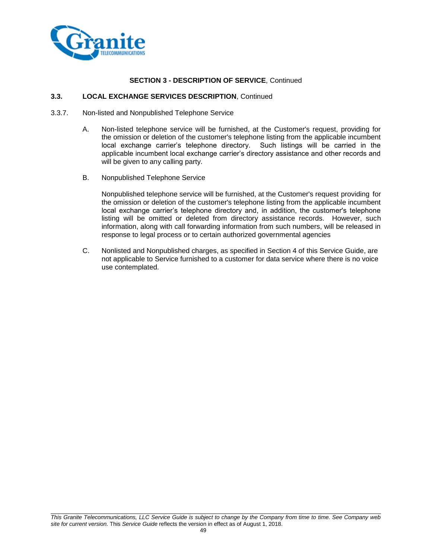

#### **3.3. LOCAL EXCHANGE SERVICES DESCRIPTION**, Continued

- 3.3.7. Non-listed and Nonpublished Telephone Service
	- A. Non-listed telephone service will be furnished, at the Customer's request, providing for the omission or deletion of the customer's telephone listing from the applicable incumbent local exchange carrier's telephone directory. Such listings will be carried in the applicable incumbent local exchange carrier's directory assistance and other records and will be given to any calling party.
	- B. Nonpublished Telephone Service

Nonpublished telephone service will be furnished, at the Customer's request providing for the omission or deletion of the customer's telephone listing from the applicable incumbent local exchange carrier's telephone directory and, in addition, the customer's telephone listing will be omitted or deleted from directory assistance records. However, such information, along with call forwarding information from such numbers, will be released in response to legal process or to certain authorized governmental agencies

C. Nonlisted and Nonpublished charges, as specified in Section 4 of this Service Guide, are not applicable to Service furnished to a customer for data service where there is no voice use contemplated.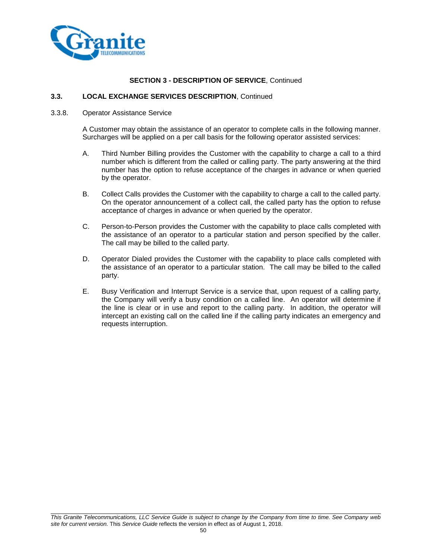

#### **3.3. LOCAL EXCHANGE SERVICES DESCRIPTION**, Continued

#### 3.3.8. Operator Assistance Service

A Customer may obtain the assistance of an operator to complete calls in the following manner. Surcharges will be applied on a per call basis for the following operator assisted services:

- A. Third Number Billing provides the Customer with the capability to charge a call to a third number which is different from the called or calling party. The party answering at the third number has the option to refuse acceptance of the charges in advance or when queried by the operator.
- B. Collect Calls provides the Customer with the capability to charge a call to the called party. On the operator announcement of a collect call, the called party has the option to refuse acceptance of charges in advance or when queried by the operator.
- C. Person-to-Person provides the Customer with the capability to place calls completed with the assistance of an operator to a particular station and person specified by the caller. The call may be billed to the called party.
- D. Operator Dialed provides the Customer with the capability to place calls completed with the assistance of an operator to a particular station. The call may be billed to the called party.
- E. Busy Verification and Interrupt Service is a service that, upon request of a calling party, the Company will verify a busy condition on a called line. An operator will determine if the line is clear or in use and report to the calling party. In addition, the operator will intercept an existing call on the called line if the calling party indicates an emergency and requests interruption.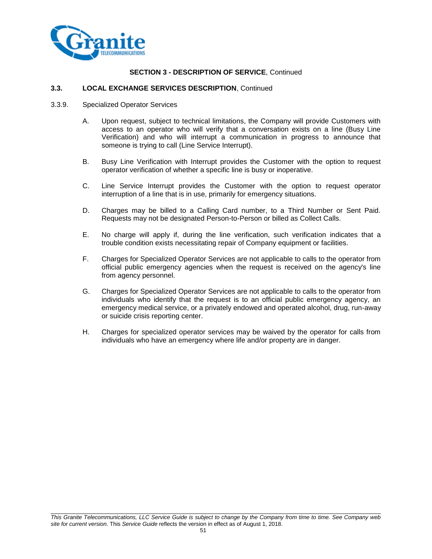

# **3.3. LOCAL EXCHANGE SERVICES DESCRIPTION**, Continued

- 3.3.9. Specialized Operator Services
	- A. Upon request, subject to technical limitations, the Company will provide Customers with access to an operator who will verify that a conversation exists on a line (Busy Line Verification) and who will interrupt a communication in progress to announce that someone is trying to call (Line Service Interrupt).
	- B. Busy Line Verification with Interrupt provides the Customer with the option to request operator verification of whether a specific line is busy or inoperative.
	- C. Line Service Interrupt provides the Customer with the option to request operator interruption of a line that is in use, primarily for emergency situations.
	- D. Charges may be billed to a Calling Card number, to a Third Number or Sent Paid. Requests may not be designated Person-to-Person or billed as Collect Calls.
	- E. No charge will apply if, during the line verification, such verification indicates that a trouble condition exists necessitating repair of Company equipment or facilities.
	- F. Charges for Specialized Operator Services are not applicable to calls to the operator from official public emergency agencies when the request is received on the agency's line from agency personnel.
	- G. Charges for Specialized Operator Services are not applicable to calls to the operator from individuals who identify that the request is to an official public emergency agency, an emergency medical service, or a privately endowed and operated alcohol, drug, run-away or suicide crisis reporting center.
	- H. Charges for specialized operator services may be waived by the operator for calls from individuals who have an emergency where life and/or property are in danger.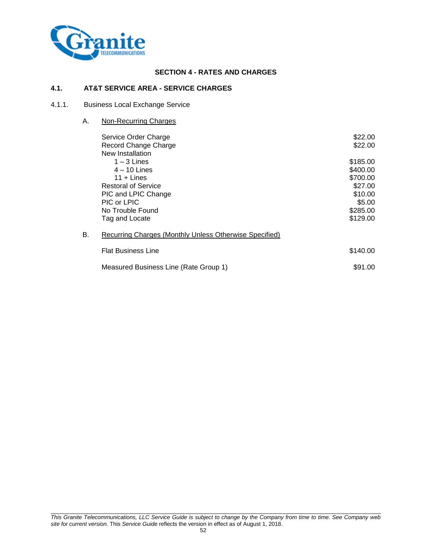

# **SECTION 4 - RATES AND CHARGES**

#### **4.1. AT&T SERVICE AREA - SERVICE CHARGES**

# 4.1.1. Business Local Exchange Service

A. Non-Recurring Charges

|    | Service Order Charge                                   | \$22.00  |
|----|--------------------------------------------------------|----------|
|    | Record Change Charge                                   | \$22.00  |
|    | New Installation                                       |          |
|    | $1 - 3$ Lines                                          | \$185.00 |
|    | $4 - 10$ Lines                                         | \$400.00 |
|    | $11 +$ Lines                                           | \$700.00 |
|    | <b>Restoral of Service</b>                             | \$27.00  |
|    | PIC and LPIC Change                                    | \$10.00  |
|    | PIC or LPIC                                            | \$5.00   |
|    | No Trouble Found                                       | \$285.00 |
|    | Tag and Locate                                         | \$129.00 |
| В. | Recurring Charges (Monthly Unless Otherwise Specified) |          |
|    | <b>Flat Business Line</b>                              | \$140.00 |
|    | Measured Business Line (Rate Group 1)                  | \$91.00  |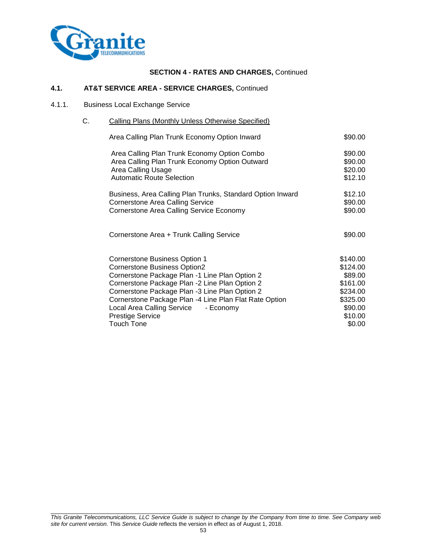

# **4.1. AT&T SERVICE AREA - SERVICE CHARGES,** Continued

#### 4.1.1. Business Local Exchange Service

# C. Calling Plans (Monthly Unless Otherwise Specified)

| Area Calling Plan Trunk Economy Option Inward              | \$90.00  |
|------------------------------------------------------------|----------|
| Area Calling Plan Trunk Economy Option Combo               | \$90.00  |
| Area Calling Plan Trunk Economy Option Outward             | \$90.00  |
| Area Calling Usage                                         | \$20.00  |
| <b>Automatic Route Selection</b>                           | \$12.10  |
| Business, Area Calling Plan Trunks, Standard Option Inward | \$12.10  |
| <b>Cornerstone Area Calling Service</b>                    | \$90.00  |
| Cornerstone Area Calling Service Economy                   | \$90.00  |
| Cornerstone Area + Trunk Calling Service                   | \$90.00  |
| Cornerstone Business Option 1                              | \$140.00 |
| Cornerstone Business Option2                               | \$124.00 |
| Cornerstone Package Plan -1 Line Plan Option 2             | \$89.00  |
| Cornerstone Package Plan -2 Line Plan Option 2             | \$161.00 |
| Cornerstone Package Plan -3 Line Plan Option 2             | \$234.00 |
| Cornerstone Package Plan -4 Line Plan Flat Rate Option     | \$325.00 |
| Local Area Calling Service - Economy                       | \$90.00  |
| <b>Prestige Service</b>                                    | \$10.00  |
| <b>Touch Tone</b>                                          | \$0.00   |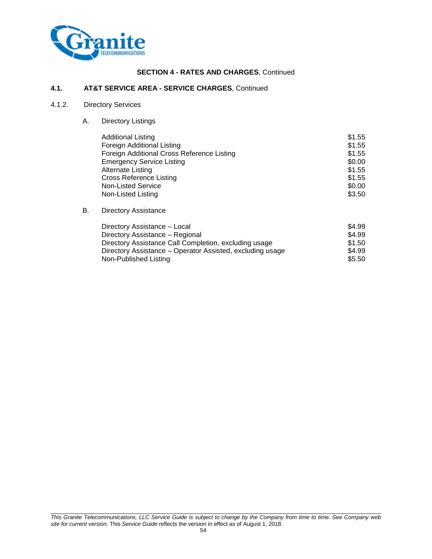

#### **4.1. AT&T SERVICE AREA - SERVICE CHARGES**, Continued

# 4.1.2. Directory Services

A. Directory Listings

| <b>Additional Listing</b>                  | \$1.55 |
|--------------------------------------------|--------|
| Foreign Additional Listing                 | \$1.55 |
| Foreign Additional Cross Reference Listing | \$1.55 |
| <b>Emergency Service Listing</b>           | \$0.00 |
| Alternate Listing                          | \$1.55 |
| <b>Cross Reference Listing</b>             | \$1.55 |
| Non-Listed Service                         | \$0.00 |
| Non-Listed Listing                         | \$3.50 |

#### B. Directory Assistance

| Directory Assistance - Local                              | \$4.99 |
|-----------------------------------------------------------|--------|
| Directory Assistance – Regional                           | \$4.99 |
| Directory Assistance Call Completion, excluding usage     | \$1.50 |
| Directory Assistance – Operator Assisted, excluding usage | \$4.99 |
| Non-Published Listing                                     | \$5.50 |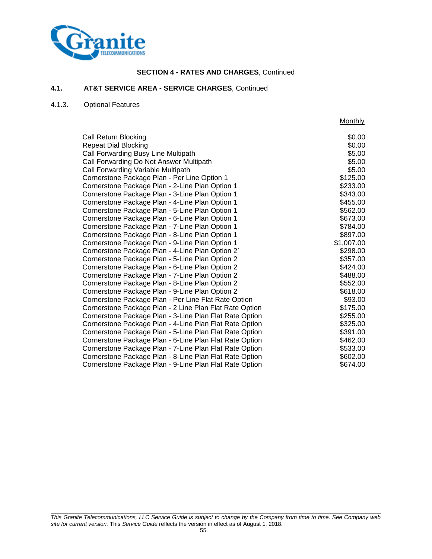

#### **4.1. AT&T SERVICE AREA - SERVICE CHARGES**, Continued

# 4.1.3. Optional Features

|                                                         | <b>Monthly</b> |
|---------------------------------------------------------|----------------|
| Call Return Blocking                                    | \$0.00         |
| <b>Repeat Dial Blocking</b>                             | \$0.00         |
| Call Forwarding Busy Line Multipath                     | \$5.00         |
| Call Forwarding Do Not Answer Multipath                 | \$5.00         |
| Call Forwarding Variable Multipath                      | \$5.00         |
| Cornerstone Package Plan - Per Line Option 1            | \$125.00       |
| Cornerstone Package Plan - 2-Line Plan Option 1         | \$233.00       |
| Cornerstone Package Plan - 3-Line Plan Option 1         | \$343.00       |
| Cornerstone Package Plan - 4-Line Plan Option 1         | \$455.00       |
| Cornerstone Package Plan - 5-Line Plan Option 1         | \$562.00       |
| Cornerstone Package Plan - 6-Line Plan Option 1         | \$673.00       |
| Cornerstone Package Plan - 7-Line Plan Option 1         | \$784.00       |
| Cornerstone Package Plan - 8-Line Plan Option 1         | \$897.00       |
| Cornerstone Package Plan - 9-Line Plan Option 1         | \$1,007.00     |
| Cornerstone Package Plan - 4-Line Plan Option 2`        | \$298.00       |
| Cornerstone Package Plan - 5-Line Plan Option 2         | \$357.00       |
| Cornerstone Package Plan - 6-Line Plan Option 2         | \$424.00       |
| Cornerstone Package Plan - 7-Line Plan Option 2         | \$488.00       |
| Cornerstone Package Plan - 8-Line Plan Option 2         | \$552.00       |
| Cornerstone Package Plan - 9-Line Plan Option 2         | \$618.00       |
| Cornerstone Package Plan - Per Line Flat Rate Option    | \$93.00        |
| Cornerstone Package Plan - 2 Line Plan Flat Rate Option | \$175.00       |
| Cornerstone Package Plan - 3-Line Plan Flat Rate Option | \$255.00       |
| Cornerstone Package Plan - 4-Line Plan Flat Rate Option | \$325.00       |
| Cornerstone Package Plan - 5-Line Plan Flat Rate Option | \$391.00       |
| Cornerstone Package Plan - 6-Line Plan Flat Rate Option | \$462.00       |
| Cornerstone Package Plan - 7-Line Plan Flat Rate Option | \$533.00       |
| Cornerstone Package Plan - 8-Line Plan Flat Rate Option | \$602.00       |
| Cornerstone Package Plan - 9-Line Plan Flat Rate Option | \$674.00       |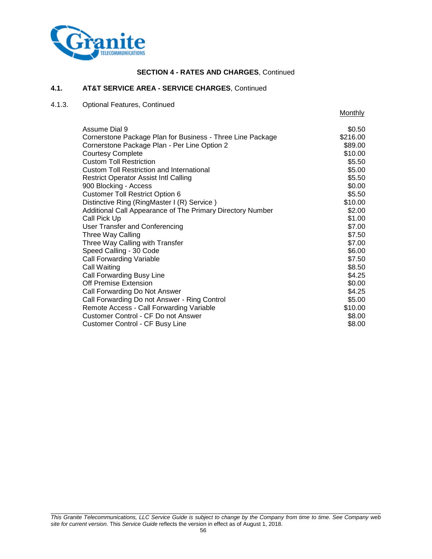

# **4.1. AT&T SERVICE AREA - SERVICE CHARGES**, Continued

# 4.1.3. Optional Features, Continued

**Monthly** 

| Assume Dial 9                                              | \$0.50   |
|------------------------------------------------------------|----------|
| Cornerstone Package Plan for Business - Three Line Package | \$216.00 |
| Cornerstone Package Plan - Per Line Option 2               | \$89.00  |
| <b>Courtesy Complete</b>                                   | \$10.00  |
| <b>Custom Toll Restriction</b>                             | \$5.50   |
| <b>Custom Toll Restriction and International</b>           | \$5.00   |
| <b>Restrict Operator Assist Intl Calling</b>               | \$5.50   |
| 900 Blocking - Access                                      | \$0.00   |
| <b>Customer Toll Restrict Option 6</b>                     | \$5.50   |
| Distinctive Ring (RingMaster I (R) Service)                | \$10.00  |
| Additional Call Appearance of The Primary Directory Number | \$2.00   |
| Call Pick Up                                               | \$1.00   |
| User Transfer and Conferencing                             | \$7.00   |
| Three Way Calling                                          | \$7.50   |
| Three Way Calling with Transfer                            | \$7.00   |
| Speed Calling - 30 Code                                    | \$6.00   |
| <b>Call Forwarding Variable</b>                            | \$7.50   |
| Call Waiting                                               | \$8.50   |
| Call Forwarding Busy Line                                  | \$4.25   |
| Off Premise Extension                                      | \$0.00   |
| Call Forwarding Do Not Answer                              | \$4.25   |
| Call Forwarding Do not Answer - Ring Control               | \$5.00   |
| Remote Access - Call Forwarding Variable                   | \$10.00  |
| Customer Control - CF Do not Answer                        | \$8.00   |
| <b>Customer Control - CF Busy Line</b>                     | \$8.00   |
|                                                            |          |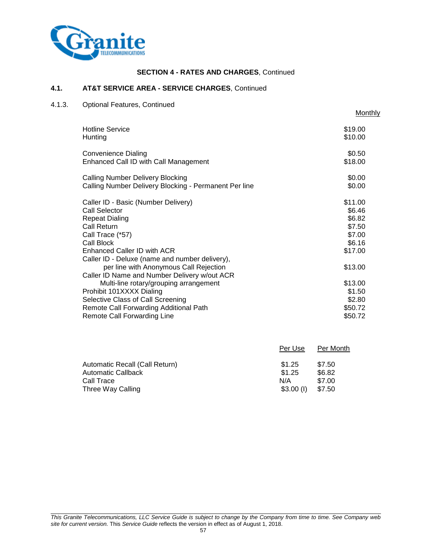

# **4.1. AT&T SERVICE AREA - SERVICE CHARGES**, Continued

# 4.1.3. Optional Features, Continued

**Monthly** 

| <b>Hotline Service</b>                                                                                                                                                                                                 | \$19.00                                                              |
|------------------------------------------------------------------------------------------------------------------------------------------------------------------------------------------------------------------------|----------------------------------------------------------------------|
| Hunting                                                                                                                                                                                                                | \$10.00                                                              |
| Convenience Dialing                                                                                                                                                                                                    | \$0.50                                                               |
| Enhanced Call ID with Call Management                                                                                                                                                                                  | \$18.00                                                              |
| Calling Number Delivery Blocking                                                                                                                                                                                       | \$0.00                                                               |
| Calling Number Delivery Blocking - Permanent Per line                                                                                                                                                                  | \$0.00                                                               |
| Caller ID - Basic (Number Delivery)<br><b>Call Selector</b><br><b>Repeat Dialing</b><br>Call Return<br>Call Trace (*57)<br>Call Block<br>Enhanced Caller ID with ACR<br>Caller ID - Deluxe (name and number delivery), | \$11.00<br>\$6.46<br>\$6.82<br>\$7.50<br>\$7.00<br>\$6.16<br>\$17.00 |
| per line with Anonymous Call Rejection<br>Caller ID Name and Number Delivery w/out ACR                                                                                                                                 | \$13.00                                                              |
| Multi-line rotary/grouping arrangement                                                                                                                                                                                 | \$13.00                                                              |
| Prohibit 101XXXX Dialing                                                                                                                                                                                               | \$1.50                                                               |
| Selective Class of Call Screening                                                                                                                                                                                      | \$2.80                                                               |
| Remote Call Forwarding Additional Path                                                                                                                                                                                 | \$50.72                                                              |
| Remote Call Forwarding Line                                                                                                                                                                                            | \$50.72                                                              |

|                                | Per Use     | Per Month |
|--------------------------------|-------------|-----------|
| Automatic Recall (Call Return) | \$1.25      | \$7.50    |
| Automatic Callback             | \$1.25      | \$6.82    |
| Call Trace                     | N/A         | \$7.00    |
| Three Way Calling              | $$3.00$ (I) | \$7.50    |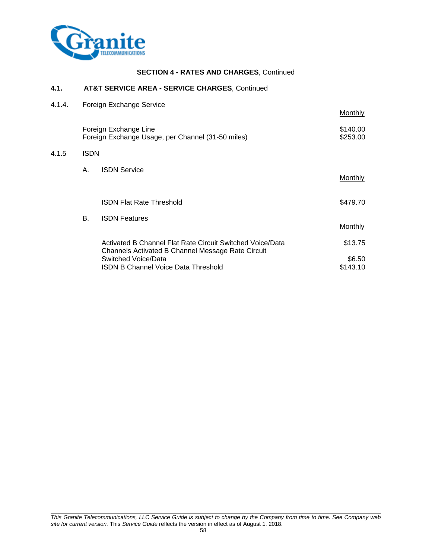

#### **4.1. AT&T SERVICE AREA - SERVICE CHARGES**, Continued

| 4.1.4. |             | Foreign Exchange Service                                                                                       |                      |
|--------|-------------|----------------------------------------------------------------------------------------------------------------|----------------------|
|        |             |                                                                                                                | <b>Monthly</b>       |
|        |             | Foreign Exchange Line<br>Foreign Exchange Usage, per Channel (31-50 miles)                                     | \$140.00<br>\$253.00 |
| 4.1.5  | <b>ISDN</b> |                                                                                                                |                      |
|        | А.          | <b>ISDN Service</b>                                                                                            | Monthly              |
|        |             | <b>ISDN Flat Rate Threshold</b>                                                                                | \$479.70             |
|        | В.          | <b>ISDN Features</b>                                                                                           | <b>Monthly</b>       |
|        |             | Activated B Channel Flat Rate Circuit Switched Voice/Data<br>Channels Activated B Channel Message Rate Circuit | \$13.75              |
|        |             | Switched Voice/Data                                                                                            | \$6.50               |
|        |             | <b>ISDN B Channel Voice Data Threshold</b>                                                                     | \$143.10             |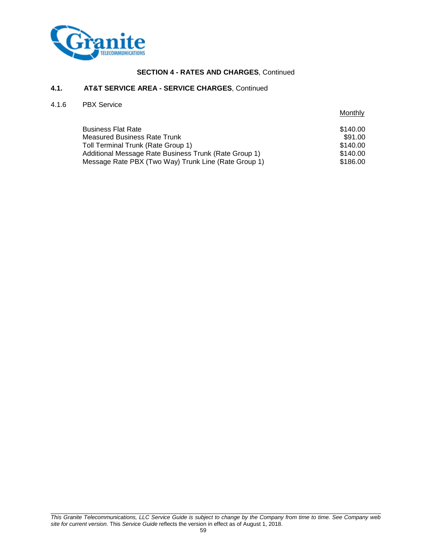

#### **4.1. AT&T SERVICE AREA - SERVICE CHARGES**, Continued

# 4.1.6 PBX Service

|                                                       | Monthly  |
|-------------------------------------------------------|----------|
| <b>Business Flat Rate</b>                             | \$140.00 |
| <b>Measured Business Rate Trunk</b>                   | \$91.00  |
| Toll Terminal Trunk (Rate Group 1)                    | \$140.00 |
| Additional Message Rate Business Trunk (Rate Group 1) | \$140.00 |
| Message Rate PBX (Two Way) Trunk Line (Rate Group 1)  | \$186.00 |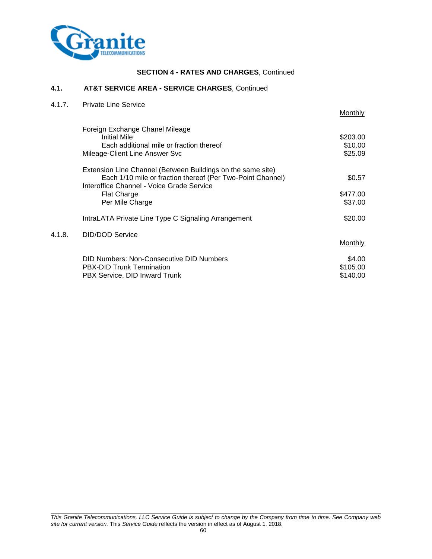

# **4.1. AT&T SERVICE AREA - SERVICE CHARGES**, Continued

| 4.1.7. | <b>Private Line Service</b>                                 |                |
|--------|-------------------------------------------------------------|----------------|
|        |                                                             | Monthly        |
|        | Foreign Exchange Chanel Mileage                             |                |
|        | <b>Initial Mile</b>                                         | \$203.00       |
|        | Each additional mile or fraction thereof                    | \$10.00        |
|        | Mileage-Client Line Answer Svc                              | \$25.09        |
|        | Extension Line Channel (Between Buildings on the same site) |                |
|        | Each 1/10 mile or fraction thereof (Per Two-Point Channel)  | \$0.57         |
|        | Interoffice Channel - Voice Grade Service                   |                |
|        | <b>Flat Charge</b>                                          | \$477.00       |
|        | Per Mile Charge                                             | \$37.00        |
|        | IntraLATA Private Line Type C Signaling Arrangement         | \$20.00        |
| 4.1.8. | <b>DID/DOD Service</b>                                      |                |
|        |                                                             | <b>Monthly</b> |
|        | DID Numbers: Non-Consecutive DID Numbers                    | \$4.00         |
|        | <b>PBX-DID Trunk Termination</b>                            | \$105.00       |
|        | PBX Service, DID Inward Trunk                               | \$140.00       |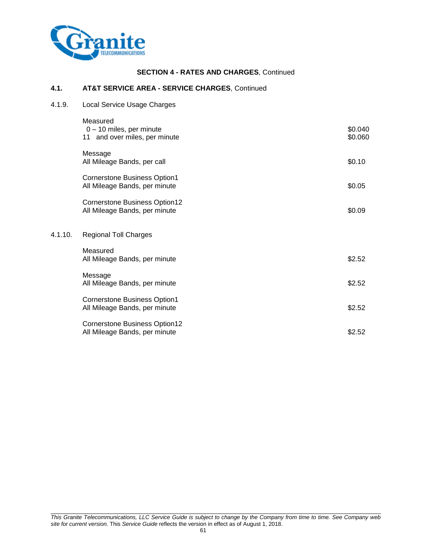

 $4.1.10.$ 

# **SECTION 4 - RATES AND CHARGES**, Continued

# **4.1. AT&T SERVICE AREA - SERVICE CHARGES**, Continued

4.1.9. Local Service Usage Charges

| Measured                                                              |                    |
|-----------------------------------------------------------------------|--------------------|
| $0 - 10$ miles, per minute<br>11 and over miles, per minute           | \$0.040<br>\$0.060 |
| Message<br>All Mileage Bands, per call                                | \$0.10             |
| <b>Cornerstone Business Option1</b><br>All Mileage Bands, per minute  | \$0.05             |
| <b>Cornerstone Business Option12</b><br>All Mileage Bands, per minute | \$0.09             |
| <b>Regional Toll Charges</b>                                          |                    |
| Measured<br>All Mileage Bands, per minute                             | \$2.52             |
| Message<br>All Mileage Bands, per minute                              | \$2.52             |
| <b>Cornerstone Business Option1</b><br>All Mileage Bands, per minute  | \$2.52             |
| <b>Cornerstone Business Option12</b><br>All Mileage Bands, per minute | \$2.52             |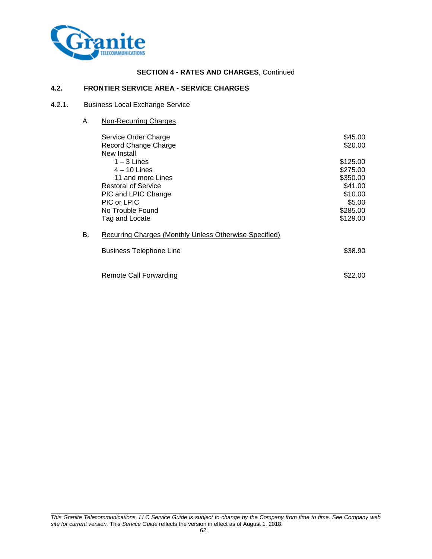

# **4.2. FRONTIER SERVICE AREA - SERVICE CHARGES**

#### 4.2.1. Business Local Exchange Service

A. Non-Recurring Charges

|    | Service Order Charge<br>Record Change Charge<br>New Install                                                                                  | \$45.00<br>\$20.00                                                                       |
|----|----------------------------------------------------------------------------------------------------------------------------------------------|------------------------------------------------------------------------------------------|
|    | $1 - 3$ Lines<br>$4 - 10$ Lines<br>11 and more Lines<br><b>Restoral of Service</b><br>PIC and LPIC Change<br>PIC or LPIC<br>No Trouble Found | \$125.00<br>\$275.00<br>\$350.00<br>\$41.00<br>\$10.00<br>\$5.00<br>\$285.00<br>\$129.00 |
| В. | Tag and Locate<br>Recurring Charges (Monthly Unless Otherwise Specified)                                                                     |                                                                                          |
|    | <b>Business Telephone Line</b><br>Remote Call Forwarding                                                                                     | \$38.90<br>\$22.<br>.OO                                                                  |
|    |                                                                                                                                              |                                                                                          |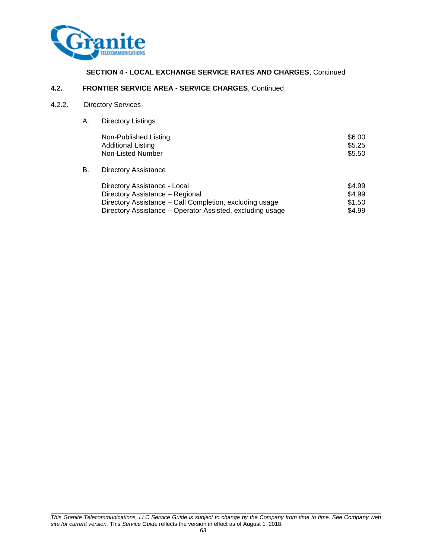

# **SECTION 4 - LOCAL EXCHANGE SERVICE RATES AND CHARGES**, Continued

# **4.2. FRONTIER SERVICE AREA - SERVICE CHARGES**, Continued

# 4.2.2. Directory Services

A. Directory Listings

|    | Non-Published Listing<br><b>Additional Listing</b><br>Non-Listed Number | \$6.00<br>\$5.25<br>\$5.50 |
|----|-------------------------------------------------------------------------|----------------------------|
| В. | <b>Directory Assistance</b>                                             |                            |
|    | Directory Assistance - Local                                            | \$4.99                     |

| Directory Assistance - Local                              | ພ−∴ອວ  |
|-----------------------------------------------------------|--------|
| Directory Assistance – Regional                           | \$4.99 |
| Directory Assistance – Call Completion, excluding usage   | \$1.50 |
| Directory Assistance – Operator Assisted, excluding usage | \$4.99 |
|                                                           |        |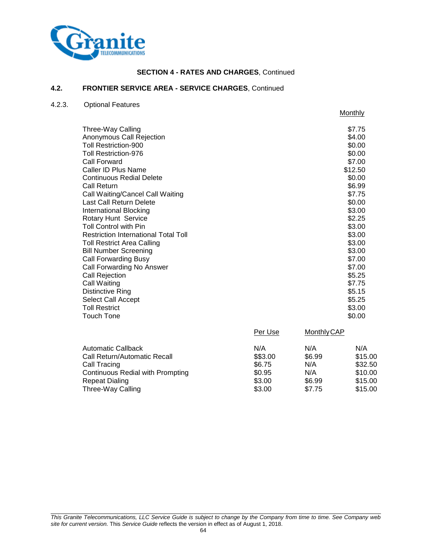

# **4.2. FRONTIER SERVICE AREA - SERVICE CHARGES**, Continued

# 4.2.3. Optional Features

|                                      | Monthly |
|--------------------------------------|---------|
| Three-Way Calling                    | \$7.75  |
| Anonymous Call Rejection             | \$4.00  |
| Toll Restriction-900                 | \$0.00  |
| Toll Restriction-976                 | \$0.00  |
| Call Forward                         | \$7.00  |
| Caller ID Plus Name                  | \$12.50 |
| Continuous Redial Delete             | \$0.00  |
| Call Return                          | \$6.99  |
| Call Waiting/Cancel Call Waiting     | \$7.75  |
| Last Call Return Delete              | \$0.00  |
| <b>International Blocking</b>        | \$3.00  |
| <b>Rotary Hunt Service</b>           | \$2.25  |
| Toll Control with Pin                | \$3.00  |
| Restriction International Total Toll | \$3.00  |
| Toll Restrict Area Calling           | \$3.00  |
| <b>Bill Number Screening</b>         | \$3.00  |
| Call Forwarding Busy                 | \$7.00  |
| Call Forwarding No Answer            | \$7.00  |
| Call Rejection                       | \$5.25  |
| Call Waiting                         | \$7.75  |
| Distinctive Ring                     | \$5.15  |
| Select Call Accept                   | \$5.25  |
| Toll Restrict                        | \$3.00  |
| Touch Tone                           | \$0.00  |

| Per Use  | <b>Monthly CAP</b> |         |
|----------|--------------------|---------|
| N/A      | N/A                | N/A     |
| \$\$3.00 | \$6.99             | \$15.00 |
| \$6.75   | N/A                | \$32.50 |
| \$0.95   | N/A                | \$10.00 |
| \$3.00   | \$6.99             | \$15.00 |
| \$3.00   | \$7.75             | \$15.00 |
|          |                    |         |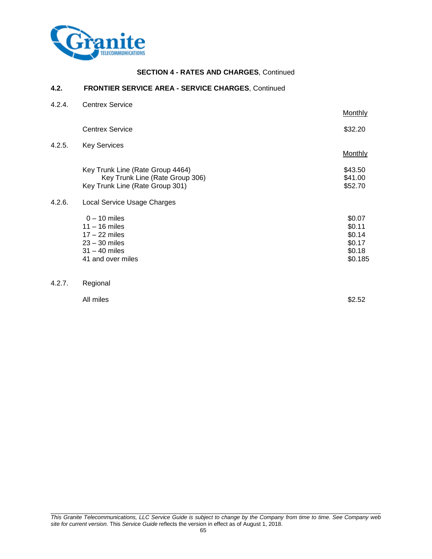

#### **4.2. FRONTIER SERVICE AREA - SERVICE CHARGES**, Continued

| 4.2.4. | <b>Centrex Service</b>                                                                                          | Monthly                                                   |
|--------|-----------------------------------------------------------------------------------------------------------------|-----------------------------------------------------------|
|        | <b>Centrex Service</b>                                                                                          | \$32.20                                                   |
| 4.2.5. | <b>Key Services</b>                                                                                             | <b>Monthly</b>                                            |
|        | Key Trunk Line (Rate Group 4464)<br>Key Trunk Line (Rate Group 306)<br>Key Trunk Line (Rate Group 301)          | \$43.50<br>\$41.00<br>\$52.70                             |
| 4.2.6. | Local Service Usage Charges                                                                                     |                                                           |
|        | $0 - 10$ miles<br>$11 - 16$ miles<br>$17 - 22$ miles<br>$23 - 30$ miles<br>$31 - 40$ miles<br>41 and over miles | \$0.07<br>\$0.11<br>\$0.14<br>\$0.17<br>\$0.18<br>\$0.185 |
| 4.2.7. | Regional                                                                                                        |                                                           |

All miles \$2.52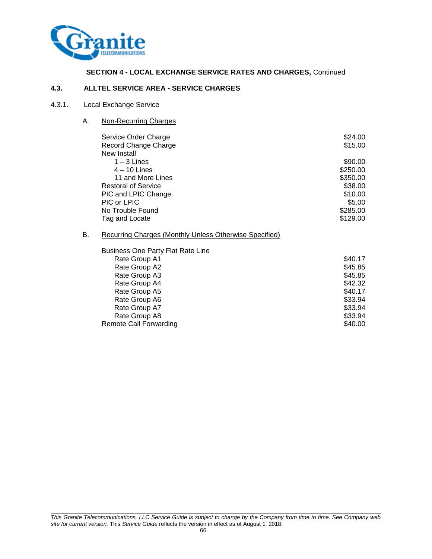

# **SECTION 4 - LOCAL EXCHANGE SERVICE RATES AND CHARGES,** Continued

#### **4.3. ALLTEL SERVICE AREA - SERVICE CHARGES**

#### 4.3.1. Local Exchange Service

A. Non-Recurring Charges

|    | Service Order Charge                                          | \$24.00  |
|----|---------------------------------------------------------------|----------|
|    | Record Change Charge                                          | \$15.00  |
|    | New Install                                                   |          |
|    | $1 - 3$ Lines                                                 | \$90.00  |
|    | $4 - 10$ Lines                                                | \$250.00 |
|    | 11 and More Lines                                             | \$350.00 |
|    | <b>Restoral of Service</b>                                    | \$38.00  |
|    | PIC and LPIC Change                                           | \$10.00  |
|    | PIC or LPIC                                                   | \$5.00   |
|    | No Trouble Found                                              | \$285.00 |
|    | Tag and Locate                                                | \$129.00 |
|    |                                                               |          |
| В. | <b>Recurring Charges (Monthly Unless Otherwise Specified)</b> |          |
|    | Business One Party Flat Rate Line                             |          |
|    | Rate Group A1                                                 | \$40.17  |
|    | Rate Group A2                                                 | \$45.85  |
|    | Rate Group A3                                                 | \$45.85  |
|    | Rate Group A4                                                 | \$42.32  |
|    | Rate Group A5                                                 | \$40.17  |
|    | Rate Group A6                                                 | \$33.94  |
|    | Rate Group A7                                                 | \$33.94  |
|    | Rate Group A8                                                 | \$33.94  |

Remote Call Forwarding **\$40.00** \$40.00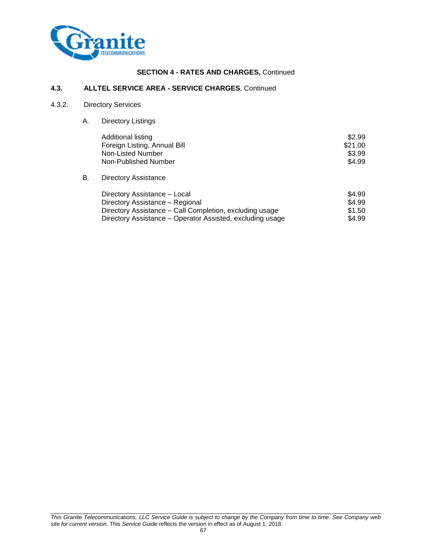

#### **4.3. ALLTEL SERVICE AREA - SERVICE CHARGES**, Continued

# 4.3.2. Directory Services

A. Directory Listings

|    | Additional listing<br>Foreign Listing, Annual Bill<br>Non-Listed Number | \$2.99<br>\$21.00<br>\$3.99 |
|----|-------------------------------------------------------------------------|-----------------------------|
| В. | Non-Published Number<br><b>Directory Assistance</b>                     | \$4.99                      |
|    | Directory Assistance - Local                                            | \$4.99                      |

| J4.YY  |
|--------|
| \$4.99 |
| \$1.50 |
| \$4.99 |
|        |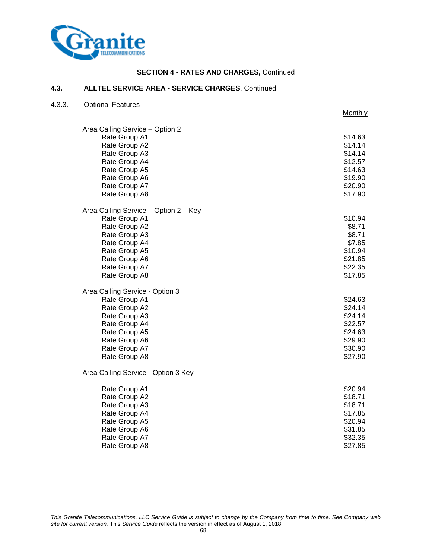

# **4.3. ALLTEL SERVICE AREA - SERVICE CHARGES**, Continued

#### 4.3.3. Optional Features

|                                       | Monthly |
|---------------------------------------|---------|
| Area Calling Service - Option 2       |         |
| Rate Group A1                         | \$14.63 |
| Rate Group A2                         | \$14.14 |
| Rate Group A3                         | \$14.14 |
| Rate Group A4                         | \$12.57 |
| Rate Group A5                         | \$14.63 |
| Rate Group A6                         | \$19.90 |
| Rate Group A7                         | \$20.90 |
| Rate Group A8                         | \$17.90 |
| Area Calling Service - Option 2 - Key |         |
| Rate Group A1                         | \$10.94 |
| Rate Group A2                         | \$8.71  |
| Rate Group A3                         | \$8.71  |
| Rate Group A4                         | \$7.85  |
| Rate Group A5                         | \$10.94 |
| Rate Group A6                         | \$21.85 |
| Rate Group A7                         | \$22.35 |
| Rate Group A8                         | \$17.85 |
| Area Calling Service - Option 3       |         |
| Rate Group A1                         | \$24.63 |
| Rate Group A2                         | \$24.14 |
| Rate Group A3                         | \$24.14 |
| Rate Group A4                         | \$22.57 |
| Rate Group A5                         | \$24.63 |
| Rate Group A6                         | \$29.90 |
| Rate Group A7                         | \$30.90 |
| Rate Group A8                         | \$27.90 |
| Area Calling Service - Option 3 Key   |         |
| Rate Group A1                         | \$20.94 |
| Rate Group A2                         | \$18.71 |
| Rate Group A3                         | \$18.71 |
| Rate Group A4                         | \$17.85 |
| Rate Group A5                         | \$20.94 |
| Rate Group A6                         | \$31.85 |
| Rate Group A7                         | \$32.35 |
| Rate Group A8                         | \$27.85 |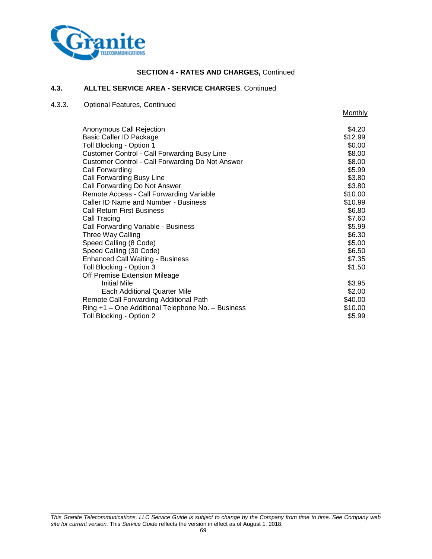

# **4.3. ALLTEL SERVICE AREA - SERVICE CHARGES**, Continued

# 4.3.3. Optional Features, Continued

**Monthly** 

| Anonymous Call Rejection                                | \$4.20  |
|---------------------------------------------------------|---------|
| Basic Caller ID Package                                 | \$12.99 |
| Toll Blocking - Option 1                                | \$0.00  |
| <b>Customer Control - Call Forwarding Busy Line</b>     | \$8.00  |
| <b>Customer Control - Call Forwarding Do Not Answer</b> | \$8.00  |
| Call Forwarding                                         | \$5.99  |
| Call Forwarding Busy Line                               | \$3.80  |
| Call Forwarding Do Not Answer                           | \$3.80  |
| Remote Access - Call Forwarding Variable                | \$10.00 |
| Caller ID Name and Number - Business                    | \$10.99 |
| <b>Call Return First Business</b>                       | \$6.80  |
| Call Tracing                                            | \$7.60  |
| Call Forwarding Variable - Business                     | \$5.99  |
| Three Way Calling                                       | \$6.30  |
| Speed Calling (8 Code)                                  | \$5.00  |
| Speed Calling (30 Code)                                 | \$6.50  |
| <b>Enhanced Call Waiting - Business</b>                 | \$7.35  |
| Toll Blocking - Option 3                                | \$1.50  |
| Off Premise Extension Mileage                           |         |
| <b>Initial Mile</b>                                     | \$3.95  |
| <b>Each Additional Quarter Mile</b>                     | \$2.00  |
| Remote Call Forwarding Additional Path                  | \$40.00 |
| Ring +1 - One Additional Telephone No. - Business       | \$10.00 |
| Toll Blocking - Option 2                                | \$5.99  |
|                                                         |         |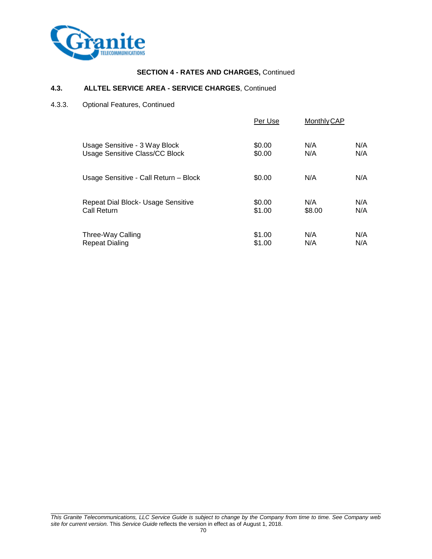

# **4.3. ALLTEL SERVICE AREA - SERVICE CHARGES**, Continued

4.3.3. Optional Features, Continued

|                                       | Per Use | <b>Monthly CAP</b> |     |
|---------------------------------------|---------|--------------------|-----|
| Usage Sensitive - 3 Way Block         | \$0.00  | N/A                | N/A |
| <b>Usage Sensitive Class/CC Block</b> | \$0.00  | N/A                | N/A |
| Usage Sensitive - Call Return - Block | \$0.00  | N/A                | N/A |
| Repeat Dial Block- Usage Sensitive    | \$0.00  | N/A                | N/A |
| Call Return                           | \$1.00  | \$8.00             | N/A |
| Three-Way Calling                     | \$1.00  | N/A                | N/A |
| <b>Repeat Dialing</b>                 | \$1.00  | N/A                | N/A |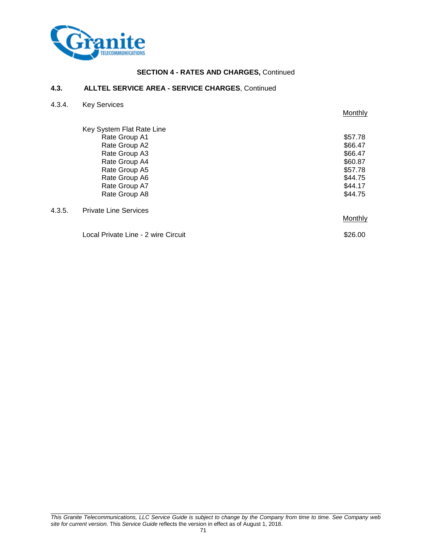

#### **4.3. ALLTEL SERVICE AREA - SERVICE CHARGES**, Continued

| 4.3.4. | <b>Key Services</b>                 |         |
|--------|-------------------------------------|---------|
|        |                                     | Monthly |
|        | Key System Flat Rate Line           |         |
|        | Rate Group A1                       | \$57.78 |
|        | Rate Group A2                       | \$66.47 |
|        | Rate Group A3                       | \$66.47 |
|        | Rate Group A4                       | \$60.87 |
|        | Rate Group A5                       | \$57.78 |
|        | Rate Group A6                       | \$44.75 |
|        | Rate Group A7                       | \$44.17 |
|        | Rate Group A8                       | \$44.75 |
| 4.3.5. | <b>Private Line Services</b>        |         |
|        |                                     | Monthly |
|        | Local Private Line - 2 wire Circuit | \$26.00 |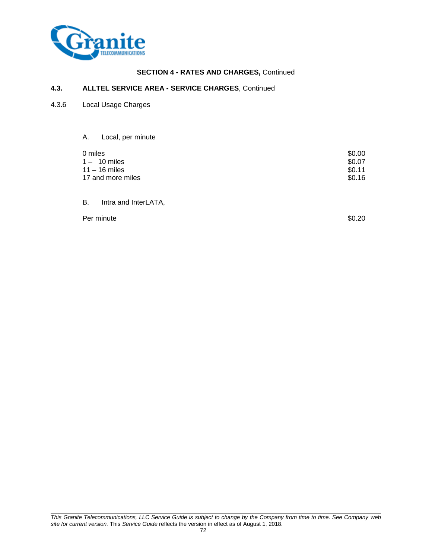

# **4.3. ALLTEL SERVICE AREA - SERVICE CHARGES**, Continued

- 4.3.6 Local Usage Charges
	- A. Local, per minute

| 0 miles           | \$0.00 |
|-------------------|--------|
| 1 – 10 miles      | \$0.07 |
| 11 – 16 miles     | \$0.11 |
| 17 and more miles | \$0.16 |
|                   |        |

B. Intra and InterLATA,

Per minute \$0.20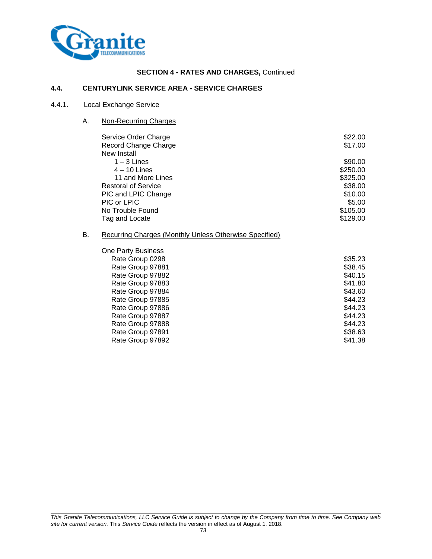

#### **4.4. CENTURYLINK SERVICE AREA - SERVICE CHARGES**

### 4.4.1. Local Exchange Service

A. Non-Recurring Charges

| \$22.00<br>\$17.00 |
|--------------------|
| \$90.00            |
| \$250.00           |
| \$325.00           |
| \$38.00            |
| \$10.00            |
| \$5.00             |
| \$105.00           |
| \$129.00           |
|                    |

# B. Recurring Charges (Monthly Unless Otherwise Specified)

| <b>One Party Business</b> |         |
|---------------------------|---------|
| Rate Group 0298           | \$35.23 |
| Rate Group 97881          | \$38.45 |
| Rate Group 97882          | \$40.15 |
| Rate Group 97883          | \$41.80 |
| Rate Group 97884          | \$43.60 |
| Rate Group 97885          | \$44.23 |
| Rate Group 97886          | \$44.23 |
| Rate Group 97887          | \$44.23 |
| Rate Group 97888          | \$44.23 |
| Rate Group 97891          | \$38.63 |
| Rate Group 97892          | \$41.38 |
|                           |         |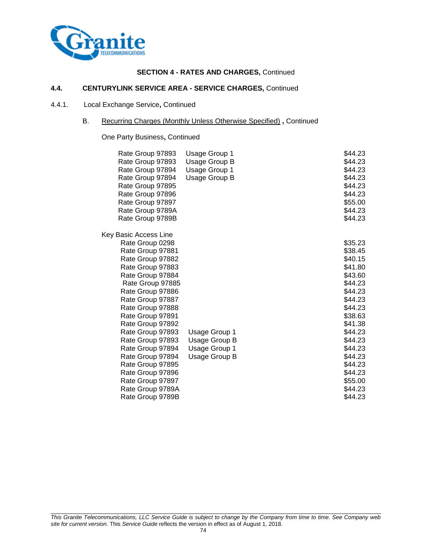

## **4.4. CENTURYLINK SERVICE AREA - SERVICE CHARGES,** Continued

### 4.4.1. Local Exchange Service**,** Continued

### B. Recurring Charges (Monthly Unless Otherwise Specified) **,** Continued

One Party Business**,** Continued

| Rate Group 97893<br>Rate Group 97893<br>Rate Group 97894<br>Rate Group 97894<br>Rate Group 97895<br>Rate Group 97896<br>Rate Group 97897<br>Rate Group 9789A                                                                                                                                                                                         | Usage Group 1<br>Usage Group B<br><b>Usage Group 1</b><br>Usage Group B | \$44.23<br>\$44.23<br>\$44.23<br>\$44.23<br>\$44.23<br>\$44.23<br>\$55.00<br>\$44.23                                                                                         |
|------------------------------------------------------------------------------------------------------------------------------------------------------------------------------------------------------------------------------------------------------------------------------------------------------------------------------------------------------|-------------------------------------------------------------------------|------------------------------------------------------------------------------------------------------------------------------------------------------------------------------|
| Rate Group 9789B                                                                                                                                                                                                                                                                                                                                     |                                                                         | \$44.23                                                                                                                                                                      |
| Key Basic Access Line<br>Rate Group 0298<br>Rate Group 97881<br>Rate Group 97882<br>Rate Group 97883<br>Rate Group 97884<br>Rate Group 97885<br>Rate Group 97886<br>Rate Group 97887<br>Rate Group 97888<br>Rate Group 97891<br>Rate Group 97892<br>Rate Group 97893<br>Rate Group 97893<br>Rate Group 97894<br>Rate Group 97894<br>Rate Group 97895 | Usage Group 1<br>Usage Group B<br>Usage Group 1<br>Usage Group B        | \$35.23<br>\$38.45<br>\$40.15<br>\$41.80<br>\$43.60<br>\$44.23<br>\$44.23<br>\$44.23<br>\$44.23<br>\$38.63<br>\$41.38<br>\$44.23<br>\$44.23<br>\$44.23<br>\$44.23<br>\$44.23 |
| Rate Group 97896<br>Rate Group 97897<br>Rate Group 9789A<br>Rate Group 9789B                                                                                                                                                                                                                                                                         |                                                                         | \$44.23<br>\$55.00<br>\$44.23<br>\$44.23                                                                                                                                     |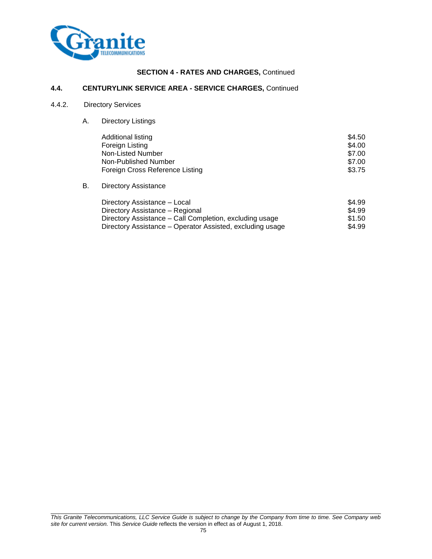

### **4.4. CENTURYLINK SERVICE AREA - SERVICE CHARGES,** Continued

### 4.4.2. Directory Services

A. Directory Listings

| Additional listing<br>Foreign Listing | \$4.50<br>\$4.00 |
|---------------------------------------|------------------|
| Non-Listed Number                     | \$7.00           |
| Non-Published Number                  | \$7.00           |
| Foreign Cross Reference Listing       | \$3.75           |

B. Directory Assistance

| Directory Assistance - Local                              | \$4.99 |
|-----------------------------------------------------------|--------|
| Directory Assistance - Regional                           | \$4.99 |
| Directory Assistance – Call Completion, excluding usage   | \$1.50 |
| Directory Assistance – Operator Assisted, excluding usage | \$4.99 |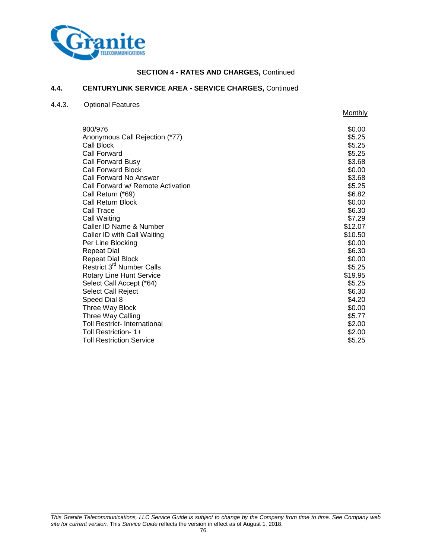

**Monthly** 

#### **4.4. CENTURYLINK SERVICE AREA - SERVICE CHARGES,** Continued

#### 4.4.3. Optional Features

900/976 \$0.00 Anonymous Call Rejection (\*77)  $$5.25$ Call Block \$5.25 Call Forward \$5.25 Call Forward Busy \$3.68 Call Forward Block  $\sim$  80.00 Call Forward No Answer \$3.68 Call Forward w/ Remote Activation \$5.25 Call Return (\*69) \$6.82 Call Return Block \$0.00<br>Call Trace \$6.30 Call Trace \$6.30 Call Waiting \$7.29 Caller ID Name & Number \$12.07 Caller ID with Call Waiting \$10.50 Per Line Blocking **\$0.000 and \$1.000 and \$1.000 and \$1.000 and \$1.000 and \$1.000 and \$1.000 and \$1.000 and \$1.000 and \$1.000 and \$1.000 and \$1.000 and \$1.000 and \$1.000 and \$1.000 and \$1.000 and \$1.000 and \$1.000 and \$1.00** Repeat Dial  $$6.30$ Repeat Dial Block  $\sim$  80.00 Restrict  $3^{\text{rd}}$  Number Calls  $$5.25$ Rotary Line Hunt Service **\$19.95** and \$19.95 Select Call Accept (\*64) \$5.25 Select Call Reject \$6.30 Speed Dial 8  $$4.20$ Three Way Block  $\sim$  30.00 Three Way Calling  $$5.77$ Toll Restrict- International \$2.00 Toll Restriction- 1+ \$2.00 **Toll Restriction Service 12.25** and **12.25** and **12.25** and **12.25** and **12.25** and **12.25** and **12.25** and **12.25**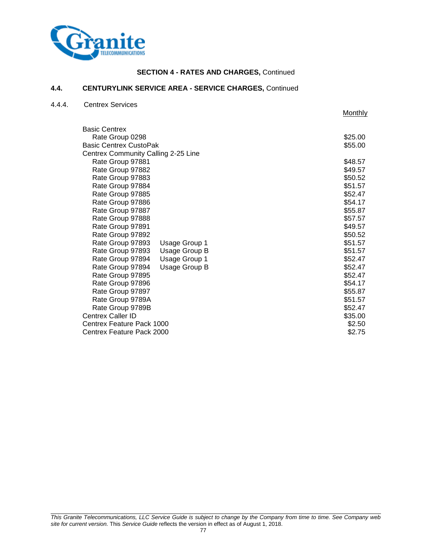

**Monthly** 

#### **4.4. CENTURYLINK SERVICE AREA - SERVICE CHARGES,** Continued

#### 4.4.4. Centrex Services

Basic Centrex Rate Group 0298 \$25.00 Basic Centrex CustoPak \$55.00 Centrex Community Calling 2-25 Line Rate Group 97881 **\$48.57** Rate Group 97882 **\$49.57** Rate Group 97883 **\$50.52** Rate Group 97884  $\overline{\phantom{0}}$ Rate Group 97885 **\$52.47** Rate Group 97886  $$54.17$  Rate Group 97887 \$55.87 Rate Group 97888 **\$57.57** Rate Group 97891 **\$49.57**  Rate Group 97892 \$50.52 Rate Group 97893 Usage Group 1 \$51.57 Rate Group 97893 Usage Group B  $$51.57$ Rate Group 97894 Usage Group 1  $$52.47$ Rate Group 97894 Usage Group B \$52.47 Rate Group 97895 **\$52.47** Rate Group 97896  $\overline{S}$ Rate Group 97897 \$55.87 Rate Group 9789A  $\overline{51.57}$ Rate Group 9789B  $$52.47$ Centrex Caller ID \$35.00 Centrex Feature Pack 1000 **\$2.50** \$2.50 Centrex Feature Pack 2000 **\$2.75**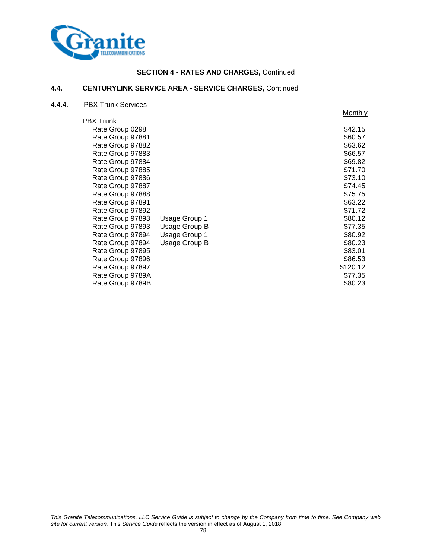

### **4.4. CENTURYLINK SERVICE AREA - SERVICE CHARGES,** Continued

4.4.4. PBX Trunk Services

|                  |               | Monthly  |
|------------------|---------------|----------|
| <b>PBX Trunk</b> |               |          |
| Rate Group 0298  |               | \$42.15  |
| Rate Group 97881 |               | \$60.57  |
| Rate Group 97882 |               | \$63.62  |
| Rate Group 97883 |               | \$66.57  |
| Rate Group 97884 |               | \$69.82  |
| Rate Group 97885 |               | \$71.70  |
| Rate Group 97886 |               | \$73.10  |
| Rate Group 97887 |               | \$74.45  |
| Rate Group 97888 |               | \$75.75  |
| Rate Group 97891 |               | \$63.22  |
| Rate Group 97892 |               | \$71.72  |
| Rate Group 97893 | Usage Group 1 | \$80.12  |
| Rate Group 97893 | Usage Group B | \$77.35  |
| Rate Group 97894 | Usage Group 1 | \$80.92  |
| Rate Group 97894 | Usage Group B | \$80.23  |
| Rate Group 97895 |               | \$83.01  |
| Rate Group 97896 |               | \$86.53  |
| Rate Group 97897 |               | \$120.12 |
| Rate Group 9789A |               | \$77.35  |
| Rate Group 9789B |               | \$80.23  |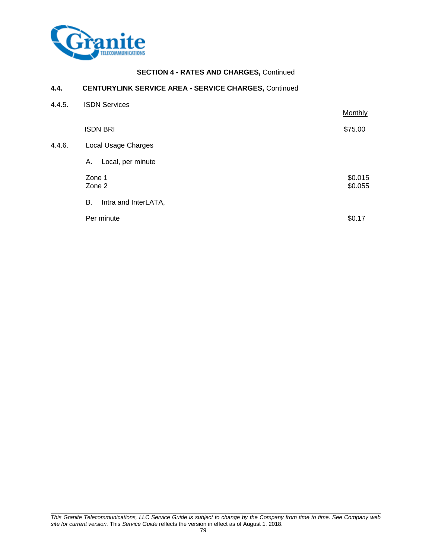

### **4.4. CENTURYLINK SERVICE AREA - SERVICE CHARGES,** Continued

| 4.4.5. | <b>ISDN Services</b>       | Monthly            |
|--------|----------------------------|--------------------|
|        | <b>ISDN BRI</b>            | \$75.00            |
| 4.4.6. | Local Usage Charges        |                    |
|        | Local, per minute<br>А.    |                    |
|        | Zone 1<br>Zone 2           | \$0.015<br>\$0.055 |
|        | В.<br>Intra and InterLATA, |                    |
|        | Per minute                 | \$0.17             |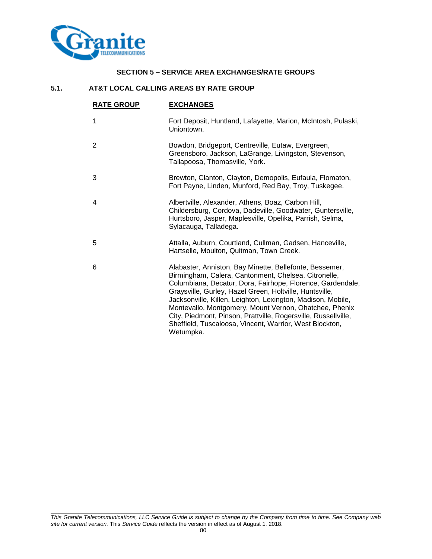

### **SECTION 5 – SERVICE AREA EXCHANGES/RATE GROUPS**

### **5.1. AT&T LOCAL CALLING AREAS BY RATE GROUP**

| <b>RATE GROUP</b> | <b>EXCHANGES</b>                                                                                                                                                                                                                                                                                                                                                                                                                                                                                            |
|-------------------|-------------------------------------------------------------------------------------------------------------------------------------------------------------------------------------------------------------------------------------------------------------------------------------------------------------------------------------------------------------------------------------------------------------------------------------------------------------------------------------------------------------|
| 1                 | Fort Deposit, Huntland, Lafayette, Marion, McIntosh, Pulaski,<br>Uniontown.                                                                                                                                                                                                                                                                                                                                                                                                                                 |
| $\overline{2}$    | Bowdon, Bridgeport, Centreville, Eutaw, Evergreen,<br>Greensboro, Jackson, LaGrange, Livingston, Stevenson,<br>Tallapoosa, Thomasville, York.                                                                                                                                                                                                                                                                                                                                                               |
| 3                 | Brewton, Clanton, Clayton, Demopolis, Eufaula, Flomaton,<br>Fort Payne, Linden, Munford, Red Bay, Troy, Tuskegee.                                                                                                                                                                                                                                                                                                                                                                                           |
| 4                 | Albertville, Alexander, Athens, Boaz, Carbon Hill,<br>Childersburg, Cordova, Dadeville, Goodwater, Guntersville,<br>Hurtsboro, Jasper, Maplesville, Opelika, Parrish, Selma,<br>Sylacauga, Talladega.                                                                                                                                                                                                                                                                                                       |
| 5                 | Attalla, Auburn, Courtland, Cullman, Gadsen, Hanceville,<br>Hartselle, Moulton, Quitman, Town Creek.                                                                                                                                                                                                                                                                                                                                                                                                        |
| 6                 | Alabaster, Anniston, Bay Minette, Bellefonte, Bessemer,<br>Birmingham, Calera, Cantonment, Chelsea, Citronelle,<br>Columbiana, Decatur, Dora, Fairhope, Florence, Gardendale,<br>Graysville, Gurley, Hazel Green, Holtville, Huntsville,<br>Jacksonville, Killen, Leighton, Lexington, Madison, Mobile,<br>Montevallo, Montgomery, Mount Vernon, Ohatchee, Phenix<br>City, Piedmont, Pinson, Prattville, Rogersville, Russellville,<br>Sheffield, Tuscaloosa, Vincent, Warrior, West Blockton,<br>Wetumpka. |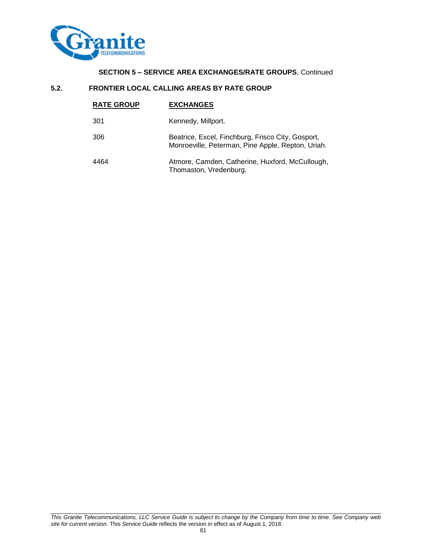

## **SECTION 5 – SERVICE AREA EXCHANGES/RATE GROUPS**, Continued

#### **5.2. FRONTIER LOCAL CALLING AREAS BY RATE GROUP**

| <b>RATE GROUP</b> | <b>EXCHANGES</b>                                                                                       |
|-------------------|--------------------------------------------------------------------------------------------------------|
| 301               | Kennedy, Millport.                                                                                     |
| 306               | Beatrice, Excel, Finchburg, Frisco City, Gosport,<br>Monroeville, Peterman, Pine Apple, Repton, Uriah. |
| 4464              | Atmore, Camden, Catherine, Huxford, McCullough,<br>Thomaston, Vredenburg.                              |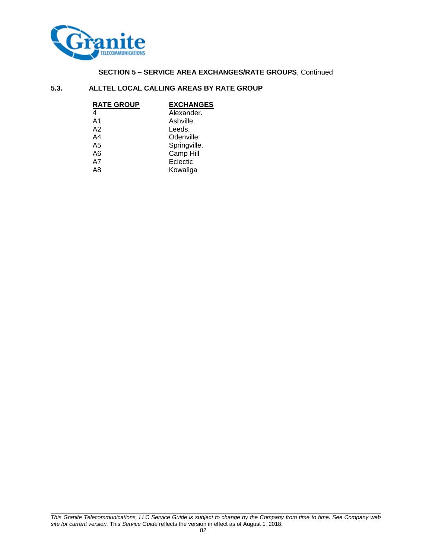

## **SECTION 5 – SERVICE AREA EXCHANGES/RATE GROUPS**, Continued

### **5.3. ALLTEL LOCAL CALLING AREAS BY RATE GROUP**

| <b>RATE GROUP</b> | <b>EXCHANGES</b> |
|-------------------|------------------|
| 4                 | Alexander.       |
| A <sub>1</sub>    | Ashville.        |
| A <sub>2</sub>    | Leeds.           |
| A4                | Odenville        |
| A5                | Springville.     |
| A6                | Camp Hill        |
| A7                | Eclectic         |
| A8                | Kowaliga         |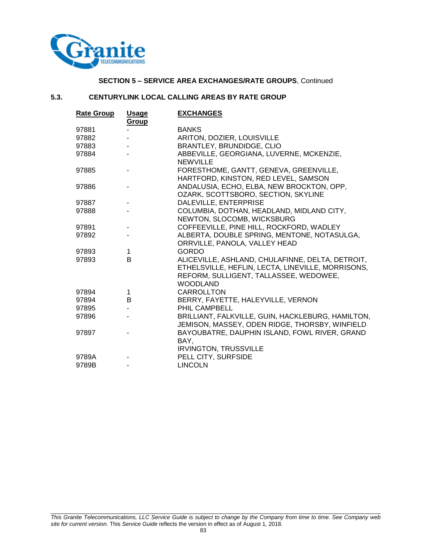

### **SECTION 5 – SERVICE AREA EXCHANGES/RATE GROUPS**, Continued

### **5.3. CENTURYLINK LOCAL CALLING AREAS BY RATE GROUP**

| <b>Rate Group</b> | <u>Usage</u> | <b>EXCHANGES</b>                                                                                                                                                   |
|-------------------|--------------|--------------------------------------------------------------------------------------------------------------------------------------------------------------------|
|                   | Group        |                                                                                                                                                                    |
| 97881             |              | <b>BANKS</b>                                                                                                                                                       |
| 97882             |              | ARITON, DOZIER, LOUISVILLE                                                                                                                                         |
| 97883             |              | BRANTLEY, BRUNDIDGE, CLIO                                                                                                                                          |
| 97884             |              | ABBEVILLE, GEORGIANA, LUVERNE, MCKENZIE,<br><b>NEWVILLE</b>                                                                                                        |
| 97885             |              | FORESTHOME, GANTT, GENEVA, GREENVILLE,<br>HARTFORD, KINSTON, RED LEVEL, SAMSON                                                                                     |
| 97886             |              | ANDALUSIA, ECHO, ELBA, NEW BROCKTON, OPP,<br>OZARK, SCOTTSBORO, SECTION, SKYLINE                                                                                   |
| 97887             |              | DALEVILLE, ENTERPRISE                                                                                                                                              |
| 97888             |              | COLUMBIA, DOTHAN, HEADLAND, MIDLAND CITY,                                                                                                                          |
|                   |              | NEWTON, SLOCOMB, WICKSBURG                                                                                                                                         |
| 97891             |              | COFFEEVILLE, PINE HILL, ROCKFORD, WADLEY                                                                                                                           |
| 97892             |              | ALBERTA, DOUBLE SPRING, MENTONE, NOTASULGA,<br>ORRVILLE, PANOLA, VALLEY HEAD                                                                                       |
| 97893             | 1            | <b>GORDO</b>                                                                                                                                                       |
| 97893             | B            | ALICEVILLE, ASHLAND, CHULAFINNE, DELTA, DETROIT,<br>ETHELSVILLE, HEFLIN, LECTA, LINEVILLE, MORRISONS,<br>REFORM, SULLIGENT, TALLASSEE, WEDOWEE,<br><b>WOODLAND</b> |
| 97894             | 1            | <b>CARROLLTON</b>                                                                                                                                                  |
| 97894             | B            | BERRY, FAYETTE, HALEYVILLE, VERNON                                                                                                                                 |
| 97895             |              | PHIL CAMPBELL                                                                                                                                                      |
| 97896             |              | BRILLIANT, FALKVILLE, GUIN, HACKLEBURG, HAMILTON,<br>JEMISON, MASSEY, ODEN RIDGE, THORSBY, WINFIELD                                                                |
| 97897             |              | BAYOUBATRE, DAUPHIN ISLAND, FOWL RIVER, GRAND<br>BAY.<br><b>IRVINGTON, TRUSSVILLE</b>                                                                              |
| 9789A             |              | PELL CITY, SURFSIDE                                                                                                                                                |
| 9789B             |              | <b>LINCOLN</b>                                                                                                                                                     |